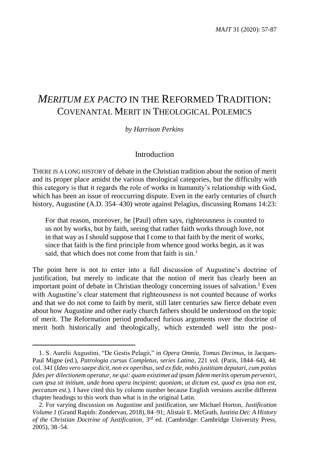# *MERITUM EX PACTO* IN THE REFORMED TRADITION: COVENANTAL MERIT IN THEOLOGICAL POLEMICS

## *by Harrison Perkins*

# Introduction

THERE IS A LONG HISTORY of debate in the Christian tradition about the notion of merit and its proper place amidst the various theological categories, but the difficulty with this category is that it regards the role of works in humanity's relationship with God, which has been an issue of reoccurring dispute. Even in the early centuries of church history, Augustine (A.D. 354–430) wrote against Pelagius, discussing Romans 14:23:

For that reason, moreover, he [Paul] often says, righteousness is counted to us not by works, but by faith, seeing that rather faith works through love, not in that way as I should suppose that I come to that faith by the merit of works, since that faith is the first principle from whence good works begin, as it was said, that which does not come from that faith is sin.<sup>1</sup>

The point here is not to enter into a full discussion of Augustine's doctrine of justification, but merely to indicate that the notion of merit has clearly been an important point of debate in Christian theology concerning issues of salvation. <sup>2</sup> Even with Augustine's clear statement that righteousness is not counted because of works and that we do not come to faith by merit, still later centuries saw fierce debate even about how Augustine and other early church fathers should be understood on the topic of merit. The Reformation period produced furious arguments over the doctrine of merit both historically and theologically, which extended well into the post-

<sup>1.</sup> S. Aurelii Augustini, "De Gestis Pelagii," in *Opera Omnia, Tomus Decimus*, in Jacques-Paul Migne (ed.), *Patrologia cursus Completus, series Latina*, 221 vol. (Paris, 1844–64), 44: col. 341 (*Ideo vero saepe dicit, non ex operibus, sed ex fide, nobis justitiam deputari, cum potius fides per dilectionem operatur, ne qui: quam existimet ad ipsam fidem meritis operum perveniri, cum ipsa sit initium, unde bona opera incipient; quoniam, ut dictum est, quod ex ipsa non est, peccatum est.*). I have cited this by column number because English versions ascribe different chapter headings to this work than what is in the original Latin.

<sup>2.</sup> For varying discussion on Augustine and justification, see Michael Horton, *Justification Volume 1* (Grand Rapids: Zondervan, 2018), 84–91; Alistair E. McGrath, *Iustitia Dei: A History of the Christian Doctrine of Justification*, 3 rd ed. (Cambridge: Cambridge University Press, 2005), 38–54.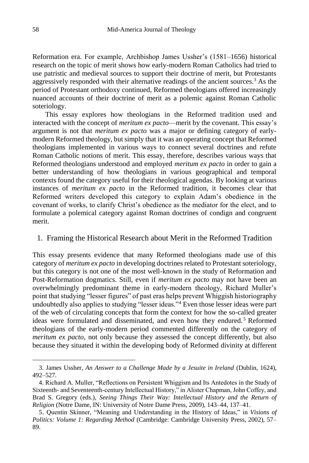Reformation era. For example, Archbishop James Ussher's (1581–1656) historical research on the topic of merit shows how early-modern Roman Catholics had tried to use patristic and medieval sources to support their doctrine of merit, but Protestants aggressively responded with their alternative readings of the ancient sources.<sup>3</sup> As the period of Protestant orthodoxy continued, Reformed theologians offered increasingly nuanced accounts of their doctrine of merit as a polemic against Roman Catholic soteriology.

This essay explores how theologians in the Reformed tradition used and interacted with the concept of *meritum ex pacto*—merit by the covenant. This essay's argument is not that *meritum ex pacto* was a major or defining category of earlymodern Reformed theology, but simply that it was an operating concept that Reformed theologians implemented in various ways to connect several doctrines and refute Roman Catholic notions of merit. This essay, therefore, describes various ways that Reformed theologians understood and employed *meritum ex pacto* in order to gain a better understanding of how theologians in various geographical and temporal contexts found the category useful for their theological agendas. By looking at various instances of *meritum ex pacto* in the Reformed tradition, it becomes clear that Reformed writers developed this category to explain Adam's obedience in the covenant of works, to clarify Christ's obedience as the mediator for the elect, and to formulate a polemical category against Roman doctrines of condign and congruent merit.

## 1. Framing the Historical Research about Merit in the Reformed Tradition

This essay presents evidence that many Reformed theologians made use of this category of *meritum ex pacto* in developing doctrines related to Protestant soteriology, but this category is not one of the most well-known in the study of Reformation and Post-Reformation dogmatics. Still, even if *meritum ex pacto* may not have been an overwhelmingly predominant theme in early-modern theology, Richard Muller's point that studying "lesser figures" of past eras helps prevent Whiggish historiography undoubtedly also applies to studying "lesser ideas."<sup>4</sup> Even those lesser ideas were part of the web of circulating concepts that form the context for how the so-called greater ideas were formulated and disseminated, and even how they endured.<sup>5</sup> Reformed theologians of the early-modern period commented differently on the category of *meritum ex pacto*, not only because they assessed the concept differently, but also because they situated it within the developing body of Reformed divinity at different

<sup>3.</sup> James Ussher, *An Answer to a Challenge Made by a Jesuite in Ireland* (Dublin, 1624), 492–527.

<sup>4.</sup> Richard A. Muller, "Reflections on Persistent Whiggism and Its Antedotes in the Study of Sixteenth- and Seventeenth-century Intellectual History," in Alister Chapman, John Coffey, and Brad S. Gregory (eds.), *Seeing Things Their Way: Intellectual History and the Return of Religion* (Notre Dame, IN: University of Notre Dame Press, 2009), 143–44, 137–41.

<sup>5.</sup> Quentin Skinner, "Meaning and Understanding in the History of Ideas," in *Visions of Politics: Volume 1: Regarding Method* (Cambridge: Cambridge University Press, 2002), 57– 89.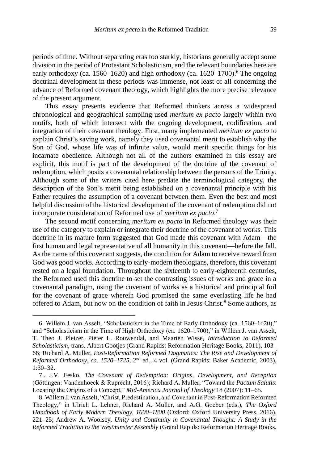periods of time. Without separating eras too starkly, historians generally accept some division in the period of Protestant Scholasticism, and the relevant boundaries here are early orthodoxy (ca. 1560–1620) and high orthodoxy (ca. 1620–1700).<sup>6</sup> The ongoing doctrinal development in these periods was immense, not least of all concerning the advance of Reformed covenant theology, which highlights the more precise relevance of the present argument.

This essay presents evidence that Reformed thinkers across a widespread chronological and geographical sampling used *meritum ex pacto* largely within two motifs, both of which intersect with the ongoing development, codification, and integration of their covenant theology. First, many implemented *meritum ex pacto* to explain Christ's saving work, namely they used covenantal merit to establish why the Son of God, whose life was of infinite value, would merit specific things for his incarnate obedience. Although not all of the authors examined in this essay are explicit, this motif is part of the development of the doctrine of the covenant of redemption, which posits a covenantal relationship between the persons of the Trinity. Although some of the writers cited here predate the terminological category, the description of the Son's merit being established on a covenantal principle with his Father requires the assumption of a covenant between them. Even the best and most helpful discussion of the historical development of the covenant of redemption did not incorporate consideration of Reformed use of *meritum ex pacto*. 7

The second motif concerning *meritum ex pacto* in Reformed theology was their use of the category to explain or integrate their doctrine of the covenant of works. This doctrine in its mature form suggested that God made this covenant with Adam—the first human and legal representative of all humanity in this covenant—before the fall. As the name of this covenant suggests, the condition for Adam to receive reward from God was good works. According to early-modern theologians, therefore, this covenant rested on a legal foundation. Throughout the sixteenth to early-eighteenth centuries, the Reformed used this doctrine to set the contrasting issues of works and grace in a covenantal paradigm, using the covenant of works as a historical and principial foil for the covenant of grace wherein God promised the same everlasting life he had offered to Adam, but now on the condition of faith in Jesus Christ.<sup>8</sup> Some authors, as

<sup>6.</sup> Willem J. van Asselt, "Scholasticism in the Time of Early Orthodoxy (ca. 1560–1620)," and "Scholasticism in the Time of High Orthodoxy (ca. 1620–1700)," in Willem J. van Asselt, T. Theo J. Pleizer, Pieter L. Rouwendal, and Maarten Wisse, *Introduction to Reformed Scholasticism*, trans. Albert Gootjes (Grand Rapids: Reformation Heritage Books, 2011), 103– 66; Richard A. Muller, *Post-Reformation Reformed Dogmatics: The Rise and Development of Reformed Orthodoxy, ca. 1520–1725*, 2nd ed., 4 vol. (Grand Rapids: Baker Academic, 2003), 1:30–32.

<sup>7</sup> . J.V. Fesko, *The Covenant of Redemption: Origins, Development, and Reception*  (Göttingen: Vandenhoeck & Ruprecht, 2016); Richard A. Muller, "Toward the *Pactum Salutis*: Locating the Origins of a Concept," *Mid-America Journal of Theology* 18 (2007): 11–65.

<sup>8.</sup> Willem J. van Asselt, "Christ, Predestination, and Covenant in Post-Reformation Reformed Theology," in Ulrich L. Lehner, Richard A. Muller, and A.G. Goeber (eds.), *The Oxford Handbook of Early Modern Theology, 1600–1800* (Oxford: Oxford University Press, 2016), 221–25; Andrew A. Woolsey, *Unity and Continuity in Covenantal Thought: A Study in the Reformed Tradition to the Westminster Assembly* (Grand Rapids: Reformation Heritage Books,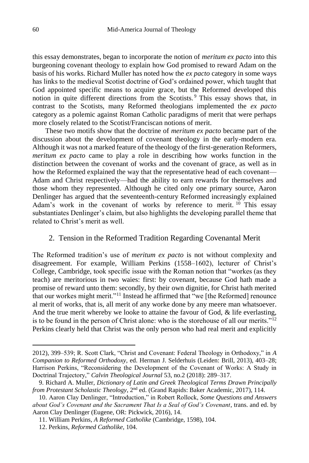this essay demonstrates, began to incorporate the notion of *meritum ex pacto* into this burgeoning covenant theology to explain how God promised to reward Adam on the basis of his works. Richard Muller has noted how the *ex pacto* category in some ways has links to the medieval Scotist doctrine of God's ordained power, which taught that God appointed specific means to acquire grace, but the Reformed developed this notion in quite different directions from the Scotists. <sup>9</sup> This essay shows that, in contrast to the Scotists, many Reformed theologians implemented the *ex pacto*  category as a polemic against Roman Catholic paradigms of merit that were perhaps more closely related to the Scotist/Franciscan notions of merit.

These two motifs show that the doctrine of *meritum ex pacto* became part of the discussion about the development of covenant theology in the early-modern era. Although it was not a marked feature of the theology of the first-generation Reformers, *meritum ex pacto* came to play a role in describing how works function in the distinction between the covenant of works and the covenant of grace, as well as in how the Reformed explained the way that the representative head of each covenant— Adam and Christ respectively—had the ability to earn rewards for themselves and those whom they represented. Although he cited only one primary source, Aaron Denlinger has argued that the seventeenth-century Reformed increasingly explained Adam's work in the covenant of works by reference to merit.  $10$  This essay substantiates Denlinger's claim, but also highlights the developing parallel theme that related to Christ's merit as well.

## 2. Tension in the Reformed Tradition Regarding Covenantal Merit

The Reformed tradition's use of *meritum ex pacto* is not without complexity and disagreement. For example, William Perkins (1558–1602), lecturer of Christ's College, Cambridge, took specific issue with the Roman notion that "workes (as they teach) are meritorious in two waies: first: by covenant, because God hath made a promise of reward unto them: secondly, by their own dignitie, for Christ hath merited that our workes might merit."<sup>11</sup> Instead he affirmed that "we [the Reformed] renounce al merit of works, that is, all merit of any worke done by any meere man whatsoever. And the true merit whereby we looke to attaine the favour of God, & life everlasting, is to be found in the person of Christ alone: who is the storehouse of all our merits."<sup>12</sup> Perkins clearly held that Christ was the only person who had real merit and explicitly

<sup>2012), 399–539;</sup> R. Scott Clark, "Christ and Covenant: Federal Theology in Orthodoxy," in *A Companion to Reformed Orthodoxy,* ed. Herman J. Selderhuis (Leiden: Brill, 2013), 403–28; Harrison Perkins, "Reconsidering the Development of the Covenant of Works: A Study in Doctrinal Trajectory," *Calvin Theological Journal* 53, no.2 (2018): 289–317.

<sup>9.</sup> Richard A. Muller, *Dictionary of Latin and Greek Theological Terms Drawn Principally from Protestant Scholastic Theology*, 2nd ed. (Grand Rapids: Baker Academic, 2017), 114.

<sup>10.</sup> Aaron Clay Denlinger, "Introduction," in Robert Rollock, *Some Questions and Answers about God's Covenant and the Sacrament That Is a Seal of God's Covenant*, trans. and ed. by Aaron Clay Denlinger (Eugene, OR: Pickwick, 2016), 14.

<sup>11.</sup> William Perkins, *A Reformed Catholike* (Cambridge, 1598), 104.

<sup>12.</sup> Perkins, *Reformed Catholike*, 104.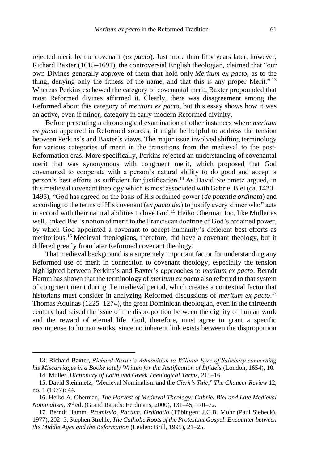rejected merit by the covenant (*ex pacto*). Just more than fifty years later, however, Richard Baxter (1615–1691), the controversial English theologian, claimed that "our own Divines generally approve of them that hold only *Meritum ex pacto,* as to the thing, denying only the fitness of the name, and that this is any proper Merit." <sup>13</sup> Whereas Perkins eschewed the category of covenantal merit, Baxter propounded that most Reformed divines affirmed it. Clearly, there was disagreement among the Reformed about this category of *meritum ex pacto*, but this essay shows how it was an active, even if minor, category in early-modern Reformed divinity.

Before presenting a chronological examination of other instances where *meritum ex pacto* appeared in Reformed sources, it might be helpful to address the tension between Perkins's and Baxter's views. The major issue involved shifting terminology for various categories of merit in the transitions from the medieval to the post-Reformation eras. More specifically, Perkins rejected an understanding of covenantal merit that was synonymous with congruent merit, which proposed that God covenanted to cooperate with a person's natural ability to do good and accept a person's best efforts as sufficient for justification.<sup>14</sup> As David Steinmetz argued, in this medieval covenant theology which is most associated with Gabriel Biel (ca. 1420– 1495), "God has agreed on the basis of His ordained power (*de potentia ordinata*) and according to the terms of His covenant (*ex pacto dei*) to justify every sinner who" acts in accord with their natural abilities to love God.<sup>15</sup> Heiko Oberman too, like Muller as well, linked Biel's notion of merit to the Franciscan doctrine of God's ordained power, by which God appointed a covenant to accept humanity's deficient best efforts as meritorious.<sup>16</sup> Medieval theologians, therefore, did have a covenant theology, but it differed greatly from later Reformed covenant theology.

That medieval background is a supremely important factor for understanding any Reformed use of merit in connection to covenant theology, especially the tension highlighted between Perkins's and Baxter's approaches to *meritum ex pacto*. Berndt Hamm has shown that the terminology of *meritum ex pacto* also referred to that system of congruent merit during the medieval period, which creates a contextual factor that historians must consider in analyzing Reformed discussions of *meritum ex pacto*. 17 Thomas Aquinas (1225–1274), the great Dominican theologian, even in the thirteenth century had raised the issue of the disproportion between the dignity of human work and the reward of eternal life. God, therefore, must agree to grant a specific recompense to human works, since no inherent link exists between the disproportion

<sup>13.</sup> Richard Baxter, *Richard Baxter's Admonition to William Eyre of Salisbury concerning his Miscarriages in a Booke lately Written for the Justification of Infidels* (London, 1654), 10.

<sup>14.</sup> Muller, *Dictionary of Latin and Greek Theological Terms*, 215–16.

<sup>15.</sup> David Steinmetz, "Medieval Nominalism and the *Clerk's Tale*," *The Chaucer Review* 12, no. 1 (1977): 44.

<sup>16.</sup> Heiko A. Oberman, *The Harvest of Medieval Theology: Gabriel Biel and Late Medieval Nominalism*, 3rd ed. (Grand Rapids: Eerdmans, 2000), 131–45, 170–72.

<sup>17.</sup> Berndt Hamm, *Promissio, Pactum, Ordinatio* (Tübingen: J.C.B. Mohr (Paul Siebeck), 1977), 202–5; Stephen Strehle, *The Catholic Roots of the Protestant Gospel: Encounter between the Middle Ages and the Reformation* (Leiden: Brill, 1995), 21–25.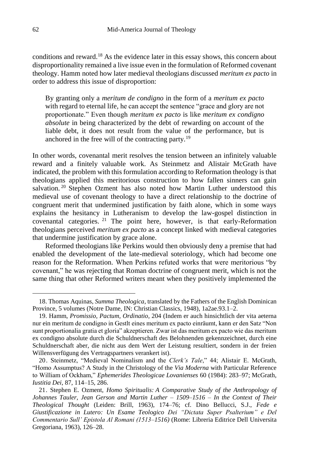conditions and reward.<sup>18</sup> As the evidence later in this essay shows, this concern about disproportionality remained a live issue even in the formulation of Reformed covenant theology. Hamm noted how later medieval theologians discussed *meritum ex pacto* in order to address this issue of disproportion:

By granting only a *meritum de condigno* in the form of a *meritum ex pacto* with regard to eternal life*,* he can accept the sentence "grace and glory are not proportionate." Even though *meritum ex pacto* is like *meritum ex condigno absolute* in being characterized by the debt of rewarding on account of the liable debt, it does not result from the value of the performance, but is anchored in the free will of the contracting party.<sup>19</sup>

In other words, covenantal merit resolves the tension between an infinitely valuable reward and a finitely valuable work. As Steinmetz and Alistair McGrath have indicated, the problem with this formulation according to Reformation theology is that theologians applied this meritorious construction to how fallen sinners can gain salvation.<sup>20</sup> Stephen Ozment has also noted how Martin Luther understood this medieval use of covenant theology to have a direct relationship to the doctrine of congruent merit that undermined justification by faith alone, which in some ways explains the hesitancy in Lutheranism to develop the law-gospel distinction in covenantal categories. <sup>21</sup> The point here, however, is that early-Reformation theologians perceived *meritum ex pacto* as a concept linked with medieval categories that undermine justification by grace alone.

Reformed theologians like Perkins would then obviously deny a premise that had enabled the development of the late-medieval soteriology, which had become one reason for the Reformation. When Perkins refuted works that were meritorious "by covenant," he was rejecting that Roman doctrine of congruent merit, which is not the same thing that other Reformed writers meant when they positively implemented the

<sup>18.</sup> Thomas Aquinas, *Summa Theologica*, translated by the Fathers of the English Dominican Province, 5 volumes (Notre Dame, IN: Christian Classics, 1948), 1a2ae.93.1–2.

<sup>19.</sup> Hamm, *Promissio, Pactum, Ordinatio*, 204 (Indem er auch hinsichtlich der vita aeterna nur ein meritum de condigno in Gestlt eines meritum ex pacto einräumt, kann er den Satz "Non sunt proportionalia gratia et gloria" akzeptieren. Zwar ist das meritum ex pacto wie das meritum ex condigno absolute durch die Schuldnerschaft des Belohnenden gekennzeichnet, durch eine Schuldnerschaft aber, die nicht aus dem Wert der Leistung resultiert, sondern in der freien Willensverfügung des Vertragspartners verankert ist).

<sup>20.</sup> Steinmetz, "Medieval Nominalism and the *Clerk's Tale*," 44; Alistair E. McGrath, "Homo Assumptus? A Study in the Christology of the *Via Moderna* with Particular Reference to William of Ockham," *Ephemerides Theologicae Lovanienses* 60 (1984): 283–97; McGrath, *Iustitia Dei*, 87, 114–15, 286.

<sup>21.</sup> Stephen E. Ozment, *Homo Spiritualis: A Comparative Study of the Anthropology of Johannes Tauler, Jean Gerson and Martin Luther – 1509–1516 – In the Context of Their Theological Thought* (Leiden: Brill, 1963), 174–76; cf. Dino Bellucci, S.J., *Fede e Giustificazione in Lutero: Un Esame Teologico Dei "Dictata Super Psalterium" e Del Commentario Sull' Epistola Al Romani (1513–1516)* (Rome: Libreria Editrice Dell Universita Gregoriana, 1963), 126–28.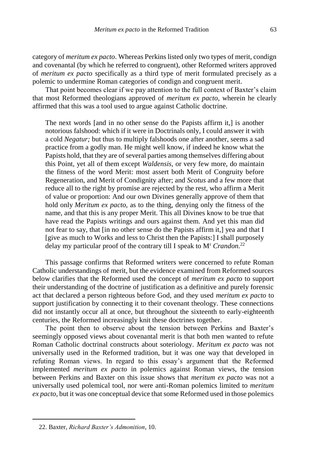category of *meritum ex pacto*. Whereas Perkins listed only two types of merit, condign and covenantal (by which he referred to congruent), other Reformed writers approved of *meritum ex pacto* specifically as a third type of merit formulated precisely as a polemic to undermine Roman categories of condign and congruent merit.

That point becomes clear if we pay attention to the full context of Baxter's claim that most Reformed theologians approved of *meritum ex pacto*, wherein he clearly affirmed that this was a tool used to argue against Catholic doctrine.

The next words [and in no other sense do the Papists affirm it,] is another notorious falshood: which if it were in Doctrinals only, I could answer it with a cold *Negatur;* but thus to multiply falshoods one after another, seems a sad practice from a godly man. He might well know, if indeed he know what the Papists hold, that they are of several parties among themselves differing about this Point, yet all of them except *Waldensis,* or very few more, do maintain the fitness of the word Merit: most assert both Merit of Congruity before Regeneration, and Merit of Condignity after; and *Scotus* and a few more that reduce all to the right by promise are rejected by the rest, who affirm a Merit of value or proportion: And our own Divines generally approve of them that hold only *Meritum ex pacto,* as to the thing, denying only the fitness of the name, and that this is any proper Merit. This all Divines know to be true that have read the Papists writings and ours against them. And yet this man did not fear to say, that [in no other sense do the Papists affirm it,] yea and that I [give as much to Works and less to Christ then the Papists:] I shall purposely delay my particular proof of the contrary till I speak to M<sup>r</sup> *Crandon.*<sup>22</sup>

This passage confirms that Reformed writers were concerned to refute Roman Catholic understandings of merit, but the evidence examined from Reformed sources below clarifies that the Reformed used the concept of *meritum ex pacto* to support their understanding of the doctrine of justification as a definitive and purely forensic act that declared a person righteous before God, and they used *meritum ex pacto* to support justification by connecting it to their covenant theology. These connections did not instantly occur all at once, but throughout the sixteenth to early-eighteenth centuries, the Reformed increasingly knit these doctrines together.

The point then to observe about the tension between Perkins and Baxter's seemingly opposed views about covenantal merit is that both men wanted to refute Roman Catholic doctrinal constructs about soteriology. *Meritum ex pacto* was not universally used in the Reformed tradition, but it was one way that developed in refuting Roman views. In regard to this essay's argument that the Reformed implemented *meritum ex pacto* in polemics against Roman views, the tension between Perkins and Baxter on this issue shows that *meritum ex pacto* was not a universally used polemical tool, nor were anti-Roman polemics limited to *meritum ex pacto*, but it was one conceptual device that some Reformed used in those polemics

<sup>22.</sup> Baxter, *Richard Baxter's Admonition*, 10.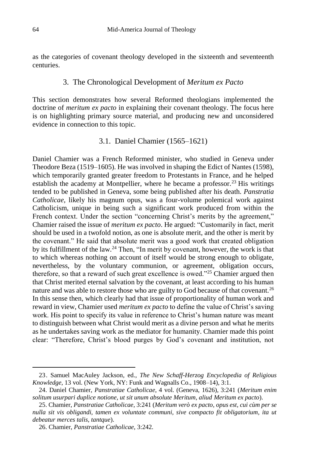as the categories of covenant theology developed in the sixteenth and seventeenth centuries.

## 3. The Chronological Development of *Meritum ex Pacto*

This section demonstrates how several Reformed theologians implemented the doctrine of *meritum ex pacto* in explaining their covenant theology. The focus here is on highlighting primary source material, and producing new and unconsidered evidence in connection to this topic.

# 3.1. Daniel Chamier (1565–1621)

Daniel Chamier was a French Reformed minister, who studied in Geneva under Theodore Beza (1519–1605). He was involved in shaping the Edict of Nantes (1598), which temporarily granted greater freedom to Protestants in France, and he helped establish the academy at Montpellier, where he became a professor.<sup>23</sup> His writings tended to be published in Geneva, some being published after his death. *Panstratia Catholicae*, likely his magnum opus, was a four-volume polemical work against Catholicism, unique in being such a significant work produced from within the French context. Under the section "concerning Christ's merits by the agreement," Chamier raised the issue of *meritum ex pacto*. He argued: "Customarily in fact, merit should be used in a twofold notion, as one is absolute merit, and the other is merit by the covenant." He said that absolute merit was a good work that created obligation by its fulfillment of the law.<sup>24</sup> Then, "In merit by covenant, however, the work is that to which whereas nothing on account of itself would be strong enough to obligate, nevertheless, by the voluntary communion, or agreement, obligation occurs, therefore, so that a reward of such great excellence is owed."<sup>25</sup> Chamier argued then that Christ merited eternal salvation by the covenant, at least according to his human nature and was able to restore those who are guilty to God because of that covenant.<sup>26</sup> In this sense then, which clearly had that issue of proportionality of human work and reward in view, Chamier used *meritum ex pacto* to define the value of Christ's saving work. His point to specify its value in reference to Christ's human nature was meant to distinguish between what Christ would merit as a divine person and what he merits as he undertakes saving work as the mediator for humanity. Chamier made this point clear: "Therefore, Christ's blood purges by God's covenant and institution, not

<sup>23.</sup> Samuel MacAuley Jackson, ed., *The New Schaff-Herzog Encyclopedia of Religious Knowledge*, 13 vol. (New York, NY: Funk and Wagnalls Co., 1908–14), 3:1.

<sup>24.</sup> Daniel Chamier, *Panstratiae Catholicae*, 4 vol. (Geneva, 1626), 3:241 (*Meritum enim solitum usurpari duplice notione, ut sit unum absolute Meritum, aliud Meritum ex pacto*).

<sup>25.</sup> Chamier, *Panstratiae Catholicae*, 3:241 (*Meritum verò ex pacto, opus est, cui cùm per se nulla sit vis obligandi, tamen ex voluntate communi, sive compacto fit obligatorium, ita ut debeatur merces talis, tantque*).

<sup>26.</sup> Chamier, *Panstratiae Catholicae*, 3:242.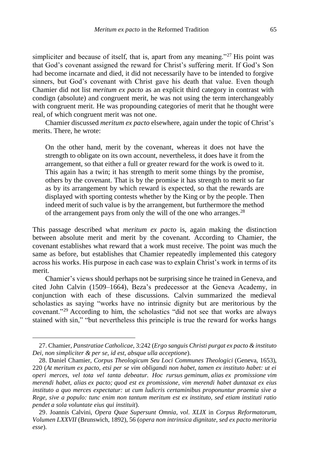simpliciter and because of itself, that is, apart from any meaning."<sup>27</sup> His point was that God's covenant assigned the reward for Christ's suffering merit. If God's Son had become incarnate and died, it did not necessarily have to be intended to forgive sinners, but God's covenant with Christ gave his death that value. Even though Chamier did not list *meritum ex pacto* as an explicit third category in contrast with condign (absolute) and congruent merit, he was not using the term interchangeably with congruent merit. He was propounding categories of merit that he thought were real, of which congruent merit was not one.

Chamier discussed *meritum ex pacto* elsewhere, again under the topic of Christ's merits. There, he wrote:

On the other hand, merit by the covenant, whereas it does not have the strength to obligate on its own account, nevertheless, it does have it from the arrangement, so that either a full or greater reward for the work is owed to it. This again has a twin; it has strength to merit some things by the promise, others by the covenant. That is by the promise it has strength to merit so far as by its arrangement by which reward is expected, so that the rewards are displayed with sporting contests whether by the King or by the people. Then indeed merit of such value is by the arrangement, but furthermore the method of the arrangement pays from only the will of the one who arranges.  $28$ 

This passage described what *meritum ex pacto* is, again making the distinction between absolute merit and merit by the covenant. According to Chamier, the covenant establishes what reward that a work must receive. The point was much the same as before, but establishes that Chamier repeatedly implemented this category across his works. His purpose in each case was to explain Christ's work in terms of its merit.

Chamier's views should perhaps not be surprising since he trained in Geneva, and cited John Calvin (1509–1664), Beza's predecessor at the Geneva Academy, in conjunction with each of these discussions. Calvin summarized the medieval scholastics as saying "works have no intrinsic dignity but are meritorious by the covenant."<sup>29</sup> According to him, the scholastics "did not see that works are always stained with sin," "but nevertheless this principle is true the reward for works hangs

<sup>27.</sup> Chamier, *Panstratiae Catholicae*, 3:242 (*Ergo sanguis Christi purgat ex pacto & instituto Dei, non simpliciter & per se, id est, absque ulla acceptione*).

<sup>28.</sup> Daniel Chamier, *Corpus Theologicum Seu Loci Communes Theologici* (Geneva, 1653), 220 (*At meritum ex pacto, etsi per se vim obligandi non habet, tamen ex instituto habet: ut ei operi merces, vel tota vel tanta debeatur. Hoc rursus geminum, alias ex promissione vim merendi habet, alias ex pacto; quod est ex promissione, vim merendi habet duntaxat ex eius instituto a quo merces expectatur: ut cum ludicris certaminibus proponuntur praemia sive a Rege, sive a populo: tunc enim non tantum meritum est ex instituto, sed etiam instituti ratio pendet a sola voluntate eius qui instituit*).

<sup>29.</sup> Joannis Calvini, *Opera Quae Supersunt Omnia, vol. XLIX* in *Corpus Reformatorum, Volumen LXXVII* (Brunswich, 1892), 56 (*opera non intrinsica dignitate, sed ex pacto meritoria esse*).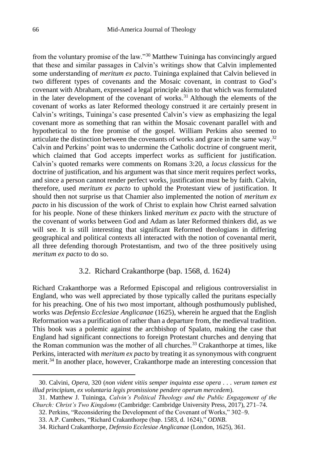from the voluntary promise of the law."<sup>30</sup> Matthew Tuininga has convincingly argued that these and similar passages in Calvin's writings show that Calvin implemented some understanding of *meritum ex pacto*. Tuininga explained that Calvin believed in two different types of covenants and the Mosaic covenant, in contrast to God's covenant with Abraham, expressed a legal principle akin to that which was formulated in the later development of the covenant of works. <sup>31</sup> Although the elements of the covenant of works as later Reformed theology construed it are certainly present in Calvin's writings, Tuininga's case presented Calvin's view as emphasizing the legal covenant more as something that ran within the Mosaic covenant parallel with and hypothetical to the free promise of the gospel. William Perkins also seemed to articulate the distinction between the covenants of works and grace in the same way.<sup>32</sup> Calvin and Perkins' point was to undermine the Catholic doctrine of congruent merit, which claimed that God accepts imperfect works as sufficient for justification. Calvin's quoted remarks were comments on Romans 3:20, a *locus classicus* for the doctrine of justification, and his argument was that since merit requires perfect works, and since a person cannot render perfect works, justification must be by faith. Calvin, therefore, used *meritum ex pacto* to uphold the Protestant view of justification. It should then not surprise us that Chamier also implemented the notion of *meritum ex pacto* in his discussion of the work of Christ to explain how Christ earned salvation for his people. None of these thinkers linked *meritum ex pacto* with the structure of the covenant of works between God and Adam as later Reformed thinkers did, as we will see. It is still interesting that significant Reformed theologians in differing geographical and political contexts all interacted with the notion of covenantal merit, all three defending thorough Protestantism, and two of the three positively using *meritum ex pacto* to do so.

## 3.2. Richard Crakanthorpe (bap. 1568, d. 1624)

Richard Crakanthorpe was a Reformed Episcopal and religious controversialist in England, who was well appreciated by those typically called the puritans especially for his preaching. One of his two most important, although posthumously published, works was *Defensio Ecclesiae Anglicanae* (1625), wherein he argued that the English Reformation was a purification of rather than a departure from, the medieval tradition. This book was a polemic against the archbishop of Spalato, making the case that England had significant connections to foreign Protestant churches and denying that the Roman communion was the mother of all churches.<sup>33</sup> Crakanthorpe at times, like Perkins, interacted with *meritum ex pacto* by treating it as synonymous with congruent merit.<sup>34</sup> In another place, however, Crakanthorpe made an interesting concession that

<sup>30.</sup> Calvini, *Opera*, 320 (*non vident vitiis semper inquinta esse opera . . . verum tamen est illud principium, ex voluntaria legis promissione pendere operum mercedem*).

<sup>31.</sup> Matthew J. Tuininga, *Calvin's Political Theology and the Public Engagement of the Church: Christ's Two Kingdoms* (Cambridge: Cambridge University Press, 2017), 271–74.

<sup>32.</sup> Perkins, "Reconsidering the Development of the Covenant of Works," 302–9.

<sup>33.</sup> A.P. Cambers, "Richard Crakanthorpe (bap. 1583, d. 1624)," *ODNB*.

<sup>34.</sup> Richard Crakanthorpe, *Defensio Ecclesiae Anglicanae* (London, 1625), 361.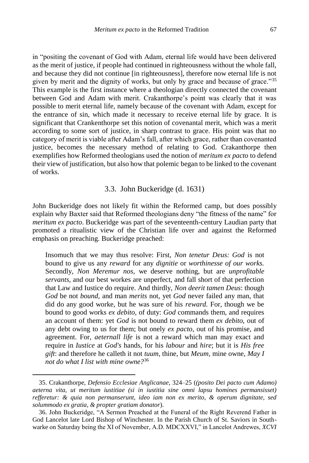in "positing the covenant of God with Adam, eternal life would have been delivered as the merit of justice, if people had continued in righteousness without the whole fall, and because they did not continue [in righteousness], therefore now eternal life is not given by merit and the dignity of works, but only by grace and because of grace."<sup>35</sup> This example is the first instance where a theologian directly connected the covenant between God and Adam with merit. Crakanthorpe's point was clearly that it was possible to merit eternal life, namely because of the covenant with Adam, except for the entrance of sin, which made it necessary to receive eternal life by grace. It is significant that Crankenthorpe set this notion of covenantal merit, which was a merit according to some sort of justice, in sharp contrast to grace. His point was that no category of merit is viable after Adam's fall, after which grace, rather than covenanted justice, becomes the necessary method of relating to God. Crakanthorpe then exemplifies how Reformed theologians used the notion of *meritum ex pacto* to defend their view of justification, but also how that polemic began to be linked to the covenant of works.

# 3.3. John Buckeridge (d. 1631)

John Buckeridge does not likely fit within the Reformed camp, but does possibly explain why Baxter said that Reformed theologians deny "the fitness of the name" for *meritum ex pacto*. Buckeridge was part of the seventeenth-century Laudian party that promoted a ritualistic view of the Christian life over and against the Reformed emphasis on preaching. Buckeridge preached:

Insomuch that we may thus resolve: First, *Non tenetur Deus: God* is not bound to give us any *reward* for any *dignitie* or *worthinesse of our works.* Secondly, *Non Meremur nos,* we deserve nothing, but are *unprofitable servants,* and our best workes are unperfect, and fall short of that perfection that Law and Iustice do require. And thirdly, *Non deerit tamen Deus*: though *God* be not *bound,* and man *merits* not, yet *God* never failed any man, that did do any good worke, but he was sure of his *reward.* For, though we be bound to good works *ex debito,* of duty: *God* commands them, and requires an account of them: yet *God* is not bound to reward them *ex debito,* out of any debt owing to us for them; but onely *ex pacto,* out of his promise, and agreement. For, *aeternall life* is not a reward which man may exact and require in *Iustice* at *God's* hands, for his *labour* and *hire*; but it is *His free gift*: and therefore he calleth it not *tuum,* thine, but *Meum,* mine owne, *May I not do what I list with mine owne?*<sup>36</sup>

<sup>35.</sup> Crakanthorpe, *Defensio Ecclesiae Anglicanae*, 324–25 (*(posito Dei pacto cum Adamo) aeterna vita, ut meritum iustitiae (si in iustitia sine omni lapsu homines permansisset) refferetur: & quia non permanserunt, ideo iam non ex merito, & operum dignitate, sed solummodo ex gratia, & propter gratiam donator*).

<sup>36.</sup> John Buckeridge, "A Sermon Preached at the Funeral of the Right Reverend Father in God Lancelot late Lord Bishop of Winchester. In the Parish Church of St. Saviors in Southwarke on Saturday being the XI of November, A.D. MDCXXVI," in Lancelot Andrewes, *XCVI*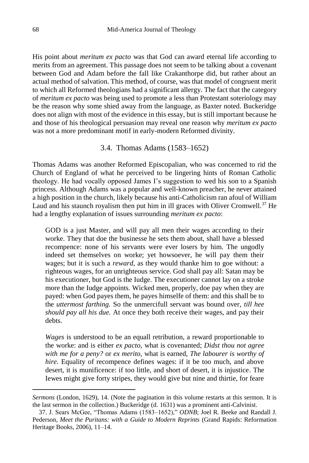His point about *meritum ex pacto* was that God can award eternal life according to merits from an agreement. This passage does not seem to be talking about a covenant between God and Adam before the fall like Crakanthorpe did, but rather about an actual method of salvation. This method, of course, was that model of congruent merit to which all Reformed theologians had a significant allergy. The fact that the category of *meritum ex pacto* was being used to promote a less than Protestant soteriology may be the reason why some shied away from the language, as Baxter noted. Buckeridge does not align with most of the evidence in this essay, but is still important because he and those of his theological persuasion may reveal one reason why *meritum ex pacto* was not a more predominant motif in early-modern Reformed divinity.

## 3.4. Thomas Adams (1583–1652)

Thomas Adams was another Reformed Episcopalian, who was concerned to rid the Church of England of what he perceived to be lingering hints of Roman Catholic theology. He had vocally opposed James I's suggestion to wed his son to a Spanish princess. Although Adams was a popular and well-known preacher, he never attained a high position in the church, likely because his anti-Catholicism ran afoul of William Laud and his staunch royalism then put him in ill graces with Oliver Cromwell.<sup>37</sup> He had a lengthy explanation of issues surrounding *meritum ex pacto*:

GOD is a just Master, and will pay all men their wages according to their worke. They that doe the businesse he sets them about, shall have a blessed recompence: none of his servants were ever losers by him. The ungodly indeed set themselves on worke; yet howsoever, he will pay them their wages; but it is such a *reward,* as they would thanke him to goe without: a righteous wages, for an unrighteous service. God shall pay all: Satan may be his executioner, but God is the Iudge. The executioner cannot lay on a stroke more than the Iudge appoints. Wicked men, properly, doe pay when they are payed: when God payes them, he payes himselfe of them: and this shall be to the *uttermost farthing.* So the unmercifull servant was bound over, *till hee should pay all his due.* At once they both receive their wages, and pay their debts.

*Wages* is understood to be an equall retribution, a reward proportionable to the worke: and is either *ex pacto,* what is covenanted; *Didst thou not agree with me for a peny?* or *ex merito,* what is earned, *The labourer is worthy of hire.* Equality of recompence defines wages: if it be too much, and above desert, it is munificence: if too little, and short of desert, it is injustice. The Iewes might give forty stripes, they would give but nine and thirtie, for feare

*Sermons* (London, 1629), 14. (Note the pagination in this volume restarts at this sermon. It is the last sermon in the collection.) Buckeridge (d. 1631) was a prominent anti-Calvinist.

<sup>37.</sup> J. Sears McGee, "Thomas Adams (1583–1652)," *ODNB*; Joel R. Beeke and Randall J. Pederson, *Meet the Puritans: with a Guide to Modern Reprints* (Grand Rapids: Reformation Heritage Books, 2006), 11–14.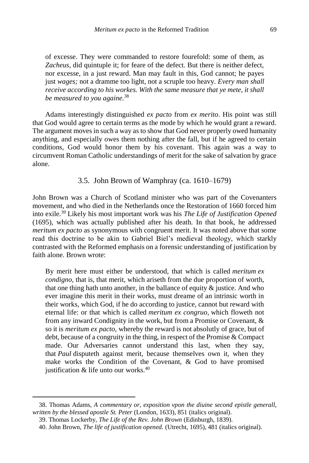of excesse. They were commanded to restore fourefold: some of them, as *Zacheus,* did quintuple it; for feare of the defect. But there is neither defect, nor excesse, in a just reward. Man may fault in this, God cannot; he payes just *wages;* not a dramme too light, not a scruple too heavy. *Every man shall receive according to his workes. With the same measure that ye mete, it shall be measured to you againe.*<sup>38</sup>

Adams interestingly distinguished *ex pacto* from *ex merito*. His point was still that God would agree to certain terms as the mode by which he would grant a reward. The argument moves in such a way as to show that God never properly owed humanity anything, and especially owes them nothing after the fall, but if he agreed to certain conditions, God would honor them by his covenant. This again was a way to circumvent Roman Catholic understandings of merit for the sake of salvation by grace alone.

# 3.5. John Brown of Wamphray (ca. 1610–1679)

John Brown was a Church of Scotland minister who was part of the Covenanters movement, and who died in the Netherlands once the Restoration of 1660 forced him into exile.<sup>39</sup> Likely his most important work was his *The Life of Justification Opened* (1695), which was actually published after his death. In that book, he addressed *meritum ex pacto* as synonymous with congruent merit. It was noted above that some read this doctrine to be akin to Gabriel Biel's medieval theology, which starkly contrasted with the Reformed emphasis on a forensic understanding of justification by faith alone. Brown wrote:

By merit here must either be understood, that which is called *meritum ex condigno,* that is, that merit, which ariseth from the due proportion of worth, that one thing hath unto another, in the ballance of equity  $\&$  justice. And who ever imagine this merit in their works, must dreame of an intrinsic worth in their works, which God, if he do according to justice, cannot but reward with eternal life: or that which is called *meritum ex congruo,* which floweth not from any inward Condignity in the work, but from a Promise or Covenant, & so it is *meritum ex pacto,* whereby the reward is not absolutly of grace, but of debt, because of a congruity in the thing, in respect of the Promise & Compact made. Our Adversaries cannot understand this last, when they say, that *Paul* disputeth against merit, because themselves own it, when they make works the Condition of the Covenant, & God to have promised justification  $&$  life unto our works.<sup>40</sup>

<sup>38.</sup> Thomas Adams, *A commentary or, exposition vpon the diuine second epistle generall, written by the blessed apostle St. Peter* (London, 1633), 851 (italics original).

<sup>39.</sup> Thomas Lockerby, *The Life of the Rev. John Brown* (Edinburgh, 1839).

<sup>40.</sup> John Brown, *The life of justification opened.* (Utrecht, 1695), 481 (italics original).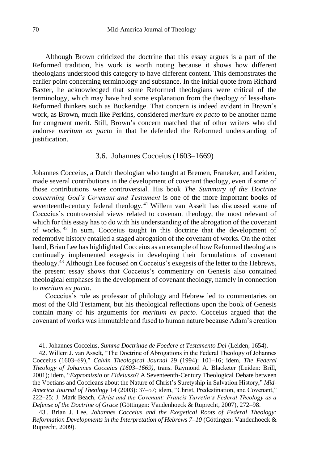Although Brown criticized the doctrine that this essay argues is a part of the Reformed tradition, his work is worth noting because it shows how different theologians understood this category to have different content. This demonstrates the earlier point concerning terminology and substance. In the initial quote from Richard Baxter, he acknowledged that some Reformed theologians were critical of the terminology, which may have had some explanation from the theology of less-than-Reformed thinkers such as Buckeridge. That concern is indeed evident in Brown's work, as Brown, much like Perkins, considered *meritum ex pacto* to be another name for congruent merit. Still, Brown's concern matched that of other writers who did endorse *meritum ex pacto* in that he defended the Reformed understanding of justification.

## 3.6. Johannes Cocceius (1603–1669)

Johannes Cocceius, a Dutch theologian who taught at Bremen, Franeker, and Leiden, made several contributions in the development of covenant theology, even if some of those contributions were controversial. His book *The Summary of the Doctrine concerning God's Covenant and Testament* is one of the more important books of seventeenth-century federal theology.<sup>41</sup> Willem van Asselt has discussed some of Cocceius's controversial views related to covenant theology, the most relevant of which for this essay has to do with his understanding of the abrogation of the covenant of works. <sup>42</sup> In sum, Cocceius taught in this doctrine that the development of redemptive history entailed a staged abrogation of the covenant of works. On the other hand, Brian Lee has highlighted Cocceius as an example of how Reformed theologians continually implemented exegesis in developing their formulations of covenant theology.<sup>43</sup> Although Lee focused on Cocceius's exegesis of the letter to the Hebrews, the present essay shows that Cocceius's commentary on Genesis also contained theological emphases in the development of covenant theology, namely in connection to *meritum ex pacto*.

Cocceius's role as professor of philology and Hebrew led to commentaries on most of the Old Testament, but his theological reflections upon the book of Genesis contain many of his arguments for *meritum ex pacto*. Cocceius argued that the covenant of works was immutable and fused to human nature because Adam's creation

<sup>41.</sup> Johannes Cocceius, *Summa Doctrinae de Foedere et Testamento Dei* (Leiden, 1654).

<sup>42.</sup> Willem J. van Asselt, "The Doctrine of Abrogations in the Federal Theology of Johannes Cocceius (1603–69)," *Calvin Theological Journal* 29 (1994): 101–16; idem, *The Federal Theology of Johannes Cocceius (1603–1669)*, trans. Raymond A. Blacketer (Leiden: Brill, 2001); idem, "*Expromissio* or *Fideiusso*? A Seventeenth-Century Theological Debate between the Voetians and Coccieans about the Nature of Christ's Suretyship in Salvation History," *Mid-America Journal of Theology* 14 (2003): 37–57; idem, "Christ, Predestination, and Covenant," 222–25; J. Mark Beach, *Christ and the Covenant: Francis Turretin's Federal Theology as a Defense of the Doctrine of Grace* (Göttingen: Vandenhoeck & Ruprecht, 2007), 272–98.

<sup>43</sup> . Brian J. Lee, *Johannes Cocceius and the Exegetical Roots of Federal Theology: Reformation Developments in the Interpretation of Hebrews 7–10* (Göttingen: Vandenhoeck & Ruprecht, 2009).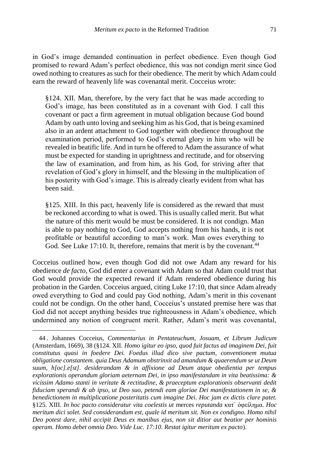in God's image demanded continuation in perfect obedience. Even though God promised to reward Adam's perfect obedience, this was not condign merit since God owed nothing to creatures as such for their obedience. The merit by which Adam could earn the reward of heavenly life was covenantal merit. Cocceius wrote:

§124. XII. Man, therefore, by the very fact that he was made according to God's image, has been constituted as in a covenant with God. I call this covenant or pact a firm agreement in mutual obligation because God bound Adam by oath unto loving and seeking him as his God, that is being examined also in an ardent attachment to God together with obedience throughout the examination period, performed to God's eternal glory in him who will be revealed in beatific life. And in turn he offered to Adam the assurance of what must be expected for standing in uprightness and rectitude, and for observing the law of examination, and from him, as his God, for striving after that revelation of God's glory in himself, and the blessing in the multiplication of his posterity with God's image. This is already clearly evident from what has been said.

§125. XIII. In this pact, heavenly life is considered as the reward that must be reckoned according to what is owed. This is usually called merit. But what the nature of this merit would be must be considered. It is not condign. Man is able to pay nothing to God, God accepts nothing from his hands, it is not profitable or beautiful according to man's work. Man owes everything to God. See Luke 17:10. It, therefore, remains that merit is by the covenant.<sup>44</sup>

Cocceius outlined how, even though God did not owe Adam any reward for his obedience *de facto*, God did enter a covenant with Adam so that Adam could trust that God would provide the expected reward if Adam rendered obedience during his probation in the Garden. Cocceius argued, citing Luke 17:10, that since Adam already owed everything to God and could pay God nothing, Adam's merit in this covenant could not be condign. On the other hand, Cocceius's unstated premise here was that God did not accept anything besides true righteousness in Adam's obedience, which undermined any notion of congruent merit. Rather, Adam's merit was covenantal,

<sup>44</sup> . Johannes Cocceius, *Commentarius in Pentateuchum, Josuam, et Librum Judicum* (Amsterdam, 1669), 38 (§124. XII. *Homo igitur eo ipso, quod fuit factus ad imaginem Dei, fuit constitutus quasi in foedere Dei. Foedus illud dico sive pactum, conventionem mutua obligatione constantem. quia Deus Adamum obstrinxit ad amandum & quaerendum se ut Deum suum, h[oc].e[st]. desiderandam & in affixione ad Deum atque obedientia per tempus explorationis operandum gloriam aeternam Dei, in ipso manifestandam in vita beatissima: & vicissim Adamo stanti in veritate & rectitudine, & praeceptum explorationis observanti dedit fiduciam sperandi & ab ipso, ut Deo suo, petendi eam gloriae Dei manifestationem in se, & benedictionem in multiplicatione posteritatis cum imagine Dei. Hoc jam ex dictis clare patet.*  §125. XIII. *In hoc pacto consideratur vita coelestis ut* merces *reputanda* κατ᾽ ὀφείλημα. *Hoc meritum dici solet. Sed considerandum est, quale id meritum sit. Non ex condigno. Homo nihil Deo potest dare, nihil accipit Deus ex manibus ejus, non sit ditior aut beatior per hominis operam. Homo debet omnia Deo. Vide Luc. 17:10. Restat igitur meritum ex pacto*).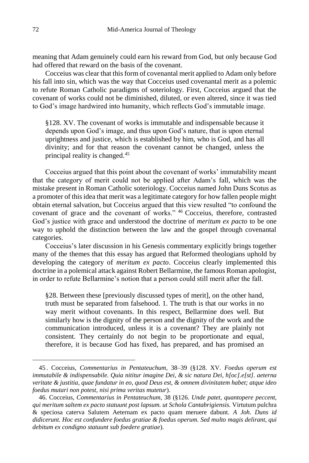meaning that Adam genuinely could earn his reward from God, but only because God had offered that reward on the basis of the covenant.

Cocceius was clear that this form of covenantal merit applied to Adam only before his fall into sin, which was the way that Cocceius used covenantal merit as a polemic to refute Roman Catholic paradigms of soteriology. First, Cocceius argued that the covenant of works could not be diminished, diluted, or even altered, since it was tied to God's image hardwired into humanity, which reflects God's immutable image.

§128. XV. The covenant of works is immutable and indispensable because it depends upon God's image, and thus upon God's nature, that is upon eternal uprightness and justice, which is established by him, who is God, and has all divinity; and for that reason the covenant cannot be changed, unless the principal reality is changed.<sup>45</sup>

Cocceius argued that this point about the covenant of works' immutability meant that the category of merit could not be applied after Adam's fall, which was the mistake present in Roman Catholic soteriology. Cocceius named John Duns Scotus as a promoter of this idea that merit was a legitimate category for how fallen people might obtain eternal salvation, but Cocceius argued that this view resulted "to confound the covenant of grace and the covenant of works." <sup>46</sup> Cocceius, therefore, contrasted God's justice with grace and understood the doctrine of *meritum ex pacto* to be one way to uphold the distinction between the law and the gospel through covenantal categories.

Cocceius's later discussion in his Genesis commentary explicitly brings together many of the themes that this essay has argued that Reformed theologians uphold by developing the category of *meritum ex pacto*. Cocceius clearly implemented this doctrine in a polemical attack against Robert Bellarmine, the famous Roman apologist, in order to refute Bellarmine's notion that a person could still merit after the fall.

§28. Between these [previously discussed types of merit], on the other hand, truth must be separated from falsehood. 1. The truth is that our works in no way merit without covenants. In this respect, Bellarmine does well. But similarly how is the dignity of the person and the dignity of the work and the communication introduced, unless it is a covenant? They are plainly not consistent. They certainly do not begin to be proportionate and equal, therefore, it is because God has fixed, has prepared, and has promised an

<sup>45</sup> . Cocceius, *Commentarius in Pentateuchum*, 38–39 (§128. XV. *Foedus operum est immutabile & indispensabile. Quia nititur imagine Dei, & sic natura Dei, h[oc].e[st]. aeterna veritate & justitia, quae fundatur in eo, quod Deus est, & omnem divinitatem habet; atque ideo foedus mutari non potest, nisi prima veritas mutetur*).

<sup>46.</sup> Cocceius, *Commentarius in Pentateuchum*, 38 (§126. *Unde patet, quantopere peccent, qui meritum saltem ex pacto statuunt post lapsum. ut Schola Cantabrigiensis.* Virtutum pulchra & speciosa caterva Salutem Aeternam ex pacto quam meruere dabunt*. A Joh. Duns id didicerunt. Hoc est confundere foedus gratiae & foedus operum. Sed multo magis delirant, qui debitum ex condigno statuunt sub foedere gratiae*).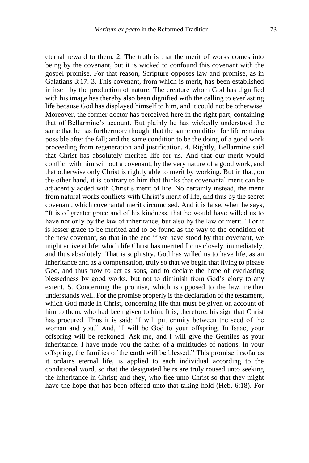eternal reward to them. 2. The truth is that the merit of works comes into being by the covenant, but it is wicked to confound this covenant with the gospel promise. For that reason, Scripture opposes law and promise, as in Galatians 3:17. 3. This covenant, from which is merit, has been established in itself by the production of nature. The creature whom God has dignified with his image has thereby also been dignified with the calling to everlasting life because God has displayed himself to him, and it could not be otherwise. Moreover, the former doctor has perceived here in the right part, containing that of Bellarmine's account. But plainly he has wickedly understood the same that he has furthermore thought that the same condition for life remains possible after the fall; and the same condition to be the doing of a good work proceeding from regeneration and justification. 4. Rightly, Bellarmine said that Christ has absolutely merited life for us. And that our merit would conflict with him without a covenant, by the very nature of a good work, and that otherwise only Christ is rightly able to merit by working. But in that, on the other hand, it is contrary to him that thinks that covenantal merit can be adjacently added with Christ's merit of life. No certainly instead, the merit from natural works conflicts with Christ's merit of life, and thus by the secret covenant, which covenantal merit circumcised. And it is false, when he says, "It is of greater grace and of his kindness, that he would have willed us to have not only by the law of inheritance, but also by the law of merit." For it is lesser grace to be merited and to be found as the way to the condition of the new covenant, so that in the end if we have stood by that covenant, we might arrive at life; which life Christ has merited for us closely, immediately, and thus absolutely. That is sophistry. God has willed us to have life, as an inheritance and as a compensation, truly so that we begin that living to please God, and thus now to act as sons, and to declare the hope of everlasting blessedness by good works, but not to diminish from God's glory to any extent. 5. Concerning the promise, which is opposed to the law, neither understands well. For the promise properly is the declaration of the testament, which God made in Christ, concerning life that must be given on account of him to them, who had been given to him. It is, therefore, his sign that Christ has procured. Thus it is said: "I will put enmity between the seed of the woman and you." And, "I will be God to your offspring. In Isaac, your offspring will be reckoned. Ask me, and I will give the Gentiles as your inheritance. I have made you the father of a multitudes of nations. In your offspring, the families of the earth will be blessed." This promise insofar as it ordains eternal life, is applied to each individual according to the conditional word, so that the designated heirs are truly roused unto seeking the inheritance in Christ; and they, who flee unto Christ so that they might have the hope that has been offered unto that taking hold (Heb. 6:18). For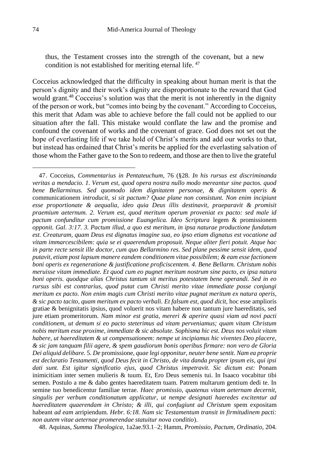thus, the Testament crosses into the strength of the covenant, but a new condition is not established for meriting eternal life. <sup>47</sup>

Cocceius acknowledged that the difficulty in speaking about human merit is that the person's dignity and their work's dignity are disproportionate to the reward that God would grant.<sup>48</sup> Cocceius's solution was that the merit is not inherently in the dignity of the person or work, but "comes into being by the covenant." According to Cocceius, this merit that Adam was able to achieve before the fall could not be applied to our situation after the fall. This mistake would conflate the law and the promise and confound the covenant of works and the covenant of grace. God does not set out the hope of everlasting life if we take hold of Christ's merits and add our works to that, but instead has ordained that Christ's merits be applied for the everlasting salvation of those whom the Father gave to the Son to redeem, and those are then to live the grateful

<sup>47.</sup> Cocceius, *Commentarius in Pentateuchum*, 76 (§28. *In his rursus est discriminanda veritas a mendacio. 1. Verum est, quod opera nostra nullo modo mereantur sine pactos. quod bene Bellarminus. Sed quomodo idem dignitatem personae, & dignitatem operis &*  communicationem *introducit, si sit pactum? Quae plane non consistunt. Non enim incipiunt esse proportionate & aequalia, ideo quia Deus illis destinavit, praeparavit & promisit praemium aeternum. 2. Verum est, quod meritum operum proveniat ex pacto: sed male id pactum confunditur cum promissione Euangelica. Ideo Scriptura* legem & promissionem *opponit. Gal. 3:17. 3. Pactum illud, a quo est meritum, in ipsa naturae productione fundatum est. Creaturam, quam Deus est dignatus imagine sua, eo ipso etiam dignatus est vocatione ad vitam immarcescibilem: quia se ei quaerendum proposuit. Neque aliter fieri potuit. Atque hac in parte recte sensit ille doctor, cum quo Bellarmino res. Sed plane pessime sensit idem, quod putavit, etiam post lapsum manere eandem conditionem vitae possibilem; & eam esse factionem boni operis ex regeneratione & justificatione proficiscentem. 4. Bene Bellarm. Christum nobis meruisse vitam immediate. Et quod cum eo pugnet meritum nostrum sine pacto, ex ipsa natura boni operis. quodque alias Christus tantum sit meritus potestatem bene operandi. Sed in eo rursus sibi est contrarius, quod putat cum Christi merito vitae immediate posse conjungi meritum ex pacto. Non enim magis cum Christi merito vitae pugnat meritum ex natura operis, & sic pacto tacito, quam meritum ex pacto verbali. Et falsum est, quod dicit,* hoc esse amplioris gratiae & benignitatis ipsius, quod voluerit nos vitam habere non tantum jure haereditatis, sed jure etiam promeritorum. *Nam minor est gratia, mereri & aperire quasi viam ad novi pacti conditionem, ut demum si eo pacto steterimus ad vitam perveniamus; quam vitam Christum nobis meritum esse proxime, immediate & sic absolute. Sophisma hic est. Deus nos voluit vitam habere, ut haereditatem & ut compensationem: nempe ut incipiamus hic viventes Deo placere, & sic jam tanquam filii agere, & spem gaudiorum bonis operibus firmare: non vero de Gloria Dei aliquid delibare.* 5. *De* promissione, *quae legi opponitur, neuter bene sentit. Nam ea proprie est declaratio Testamenti, quod Deus fecit in Christo, de vita danda propter ipsum eis, qui ipsi dati sunt. Est igitur significatio ejus, quod Christus impetravit. Sic dictum est:* Ponam inimicitiam inter semen mulieris & tuum. Et, Ero Deus semenis tui. In Isaaco vocabitur tibi semen. Postulo a me & dabo gentes haereditatem tuam. Patrem multarum gentium dedi te. In semine tuo benedicentur familiae terrae. *Haec promissio, quatenus vitam aeternam decernit, singulis per verbum conditionatum applicatur, ut nempe designati haeredes excitentur ad haereditatem quaerendam in Christo; & illi, qui confugiunt ad Christum* spem expositam habeant *ad eam* arripiendum. *Hebr. 6:18. Nam sic Testamentum transit in firmitudinem pacti: non autem vitae aeternae promerendae statuitur nova conditio*).

<sup>48.</sup> Aquinas, *Summa Theologica*, 1a2ae.93.1–2; Hamm, *Promissio, Pactum, Ordinatio*, 204.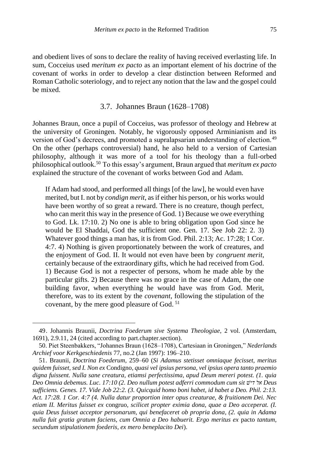and obedient lives of sons to declare the reality of having received everlasting life. In sum, Cocceius used *meritum ex pacto* as an important element of his doctrine of the covenant of works in order to develop a clear distinction between Reformed and Roman Catholic soteriology, and to reject any notion that the law and the gospel could be mixed.

## 3.7. Johannes Braun (1628–1708)

Johannes Braun, once a pupil of Cocceius, was professor of theology and Hebrew at the university of Groningen. Notably, he vigorously opposed Arminianism and its version of God's decrees, and promoted a supralapsarian understanding of election.<sup>49</sup> On the other (perhaps controversial) hand, he also held to a version of Cartesian philosophy, although it was more of a tool for his theology than a full-orbed philosophical outlook.<sup>50</sup> To this essay's argument, Braun argued that *meritum ex pacto* explained the structure of the covenant of works between God and Adam.

If Adam had stood, and performed all things [of the law], he would even have merited, but I. not by *condign merit*, as if either his person, or his works would have been worthy of so great a reward. There is no creature, though perfect, who can merit this way in the presence of God. 1) Because we owe everything to God. Lk. 17:10. 2) No one is able to bring obligation upon God since he would be El Shaddai, God the sufficient one. Gen. 17. See Job 22: 2. 3) Whatever good things a man has, it is from God. Phil. 2:13; Ac. 17:28; 1 Cor. 4:7. 4) Nothing is given proportionately between the work of creatures, and the enjoyment of God. II. It would not even have been by *congruent merit*, certainly because of the extraordinary gifts, which he had received from God. 1) Because God is not a respecter of persons, whom he made able by the particular gifts. 2) Because there was no grace in the case of Adam, the one building favor, when everything he would have was from God. Merit, therefore, was to its extent by the *covenant*, following the stipulation of the covenant, by the mere good pleasure of God. <sup>51</sup>

<sup>49.</sup> Johannis Braunii, *Doctrina Foederum sive Systema Theologiae*, 2 vol. (Amsterdam, 1691), 2.9.11, 24 (cited according to part.chapter.section).

<sup>50.</sup> Piet Steenbakkers, "Johannes Braun (1628–1708), Cartesiaan in Groningen," *Nederlands Archief voor Kerkgeschiedenis* 77, no.2 (Jan 1997): 196–210.

<sup>51.</sup> Braunii, *Doctrina Foederum*, 259–60 (*Si Adamus stetisset omniaque fecisset, meritus quidem fuisset, sed I. Non ex* Condigno*, quasi vel ipsius persona, vel ipsius opera tanto praemio digna fuissent. Nulla sane creatura, etiamsi perfectissima, apud Deum mereri potest. (1. quia Deo Omnia debemus. Luc. 17:10 (2. Deo nullum potest adferri commodum cum sit דישׁ אל Deus sufficiens. Genes. 17. Vide Job 22:2. (3. Quicquid homo boni habet, id habet a Deo. Phil. 2:13. Act. 17:28. 1 Cor. 4:7 (4. Nulla datur proportion inter opus creaturae, & fruitionem Dei. Nec etiam II. Meritus fuisset ex* congruo*, scilicet propter eximia dona, quae a Deo acceperat. (I. quia Deus fuisset acceptor personarum, qui benefaceret ob propria dona, (2. quia in Adama nulla fuit gratia gratum faciens, cum Omnia a Deo habuerit. Ergo meritus ex* pacto *tantum, secundum stipulationem foederis, ex mero beneplacito Dei*).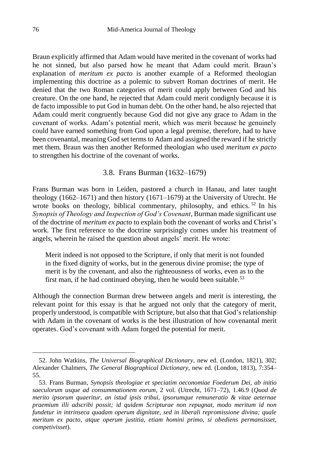Braun explicitly affirmed that Adam would have merited in the covenant of works had he not sinned, but also parsed how he meant that Adam could merit. Braun's explanation of *meritum ex pacto* is another example of a Reformed theologian implementing this doctrine as a polemic to subvert Roman doctrines of merit. He denied that the two Roman categories of merit could apply between God and his creature. On the one hand, he rejected that Adam could merit condignly because it is de facto impossible to put God in human debt. On the other hand, he also rejected that Adam could merit congruently because God did not give any grace to Adam in the covenant of works. Adam's potential merit, which was merit because he genuinely could have earned something from God upon a legal premise, therefore, had to have been covenantal, meaning God set terms to Adam and assigned the reward if he strictly met them. Braun was then another Reformed theologian who used *meritum ex pacto* to strengthen his doctrine of the covenant of works.

# 3.8. Frans Burman (1632–1679)

Frans Burman was born in Leiden, pastored a church in Hanau, and later taught theology (1662–1671) and then history (1671–1679) at the University of Utrecht. He wrote books on theology, biblical commentary, philosophy, and ethics.<sup>52</sup> In his *Synopsis of Theology and Inspection of God's Covenant*, Burman made significant use of the doctrine of *meritum ex pacto* to explain both the covenant of works and Christ's work. The first reference to the doctrine surprisingly comes under his treatment of angels, wherein he raised the question about angels' merit. He wrote:

Merit indeed is not opposed to the Scripture, if only that merit is not founded in the fixed dignity of works, but in the generous divine promise; the type of merit is by the covenant, and also the righteousness of works, even as to the first man, if he had continued obeying, then he would been suitable.<sup>53</sup>

Although the connection Burman drew between angels and merit is interesting, the relevant point for this essay is that he argued not only that the category of merit, properly understood, is compatible with Scripture, but also that that God's relationship with Adam in the covenant of works is the best illustration of how covenantal merit operates. God's covenant with Adam forged the potential for merit.

<sup>52.</sup> John Watkins, *The Universal Biographical Dictionary*, new ed. (London, 1821), 302; Alexander Chalmers, *The General Biographical Dictionary*, new ed. (London, 1813), 7:354– 55.

<sup>53.</sup> Frans Burman, *Synopsis theologiae et speciatim oeconomiae Foederum Dei, ab initio saeculorum usque ad consummationem eorum*, 2 vol. (Utrecht, 1671–72), 1.46.9 (*Quod de merito ipsorum quaeritur, an istud ipsis tribui, ipsorumque remuneratio & vitae aeternae praemium illi adscribi possit; id quidem Scripturae non repugnat, modo meritum id non fundetur in intrinseca quadam operum dignitate, sed in liberali repromissione divina; quale meritum ex pacto, atque operum justitia, etiam homini primo, si obediens permansisset, competivisset*).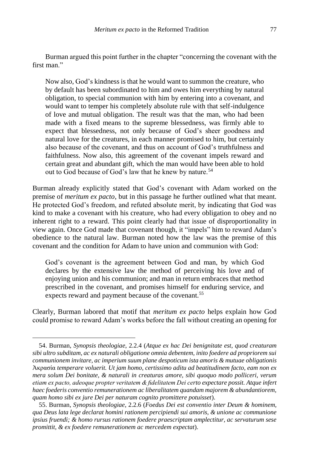Burman argued this point further in the chapter "concerning the covenant with the first man."

Now also, God's kindness is that he would want to summon the creature, who by default has been subordinated to him and owes him everything by natural obligation, to special communion with him by entering into a covenant, and would want to temper his completely absolute rule with that self-indulgence of love and mutual obligation. The result was that the man, who had been made with a fixed means to the supreme blessedness, was firmly able to expect that blessedness, not only because of God's sheer goodness and natural love for the creatures, in each manner promised to him, but certainly also because of the covenant, and thus on account of God's truthfulness and faithfulness. Now also, this agreement of the covenant impels reward and certain great and abundant gift, which the man would have been able to hold out to God because of God's law that he knew by nature.<sup>54</sup>

Burman already explicitly stated that God's covenant with Adam worked on the premise of *meritum ex pacto*, but in this passage he further outlined what that meant. He protected God's freedom, and refuted absolute merit, by indicating that God was kind to make a covenant with his creature, who had every obligation to obey and no inherent right to a reward. This point clearly had that issue of disproportionality in view again. Once God made that covenant though, it "impels" him to reward Adam's obedience to the natural law. Burman noted how the law was the premise of this covenant and the condition for Adam to have union and communion with God:

God's covenant is the agreement between God and man, by which God declares by the extensive law the method of perceiving his love and of enjoying union and his communion; and man in return embraces that method prescribed in the covenant, and promises himself for enduring service, and expects reward and payment because of the covenant.<sup>55</sup>

Clearly, Burman labored that motif that *meritum ex pacto* helps explain how God could promise to reward Adam's works before the fall without creating an opening for

<sup>54.</sup> Burman, *Synopsis theologiae*, 2.2.4 (*Atque ex hac Dei benignitate est, quod creaturam sibi ultro subditam, ac ex naturali obligatione omnia debentem, inito foedere ad propriorem sui communionem invitare, ac imperium suum plane despoticum ista amoris & mutuae obligationis* Ἀκρασία *temperare voluerit. Ut jam homo, certissimo aditu ad beatitudinem facto, eam non ex mera solum Dei bonitate, & naturali in creaturas amore, sibi quoquo modo polliceri, verum etiam ex pacto, adeoque propter veritatem & fidelitatem Dei certo expectare possit. Atque infert haec foederis conventio remunerationem ac liberalitatem quandam majorem & abundantiorem, quam homo sibi ex jure Dei per naturam cognito promittere potuisset*).

<sup>55.</sup> Burman, *Synopsis theologiae*, 2.2.6 (*Foedus Dei est conventio inter Deum & hominem, qua Deus lata lege declarat homini rationem percipiendi sui amoris, & unione ac communione ipsius fruendi; & homo rursus rationem foedere praescriptam amplectitur, ac servaturum sese promittit, & ex foedere remunerationem ac mercedem expectat*).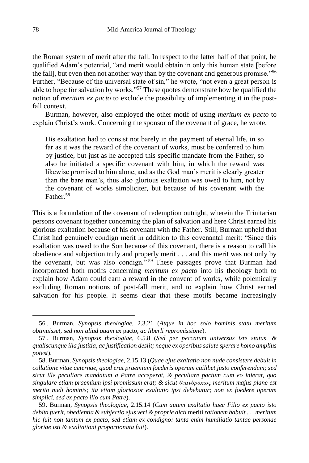the Roman system of merit after the fall. In respect to the latter half of that point, he qualified Adam's potential, "and merit would obtain in only this human state [before the fall], but even then not another way than by the covenant and generous promise."<sup>56</sup> Further, "Because of the universal state of sin," he wrote, "not even a great person is able to hope for salvation by works."<sup>57</sup> These quotes demonstrate how he qualified the notion of *meritum ex pacto* to exclude the possibility of implementing it in the postfall context.

Burman, however, also employed the other motif of using *meritum ex pacto* to explain Christ's work. Concerning the sponsor of the covenant of grace, he wrote,

His exaltation had to consist not barely in the payment of eternal life, in so far as it was the reward of the covenant of works, must be conferred to him by justice, but just as he accepted this specific mandate from the Father, so also he initiated a specific covenant with him, in which the reward was likewise promised to him alone, and as the God man's merit is clearly greater than the bare man's, thus also glorious exaltation was owed to him, not by the covenant of works simpliciter, but because of his covenant with the Father<sup>58</sup>

This is a formulation of the covenant of redemption outright, wherein the Trinitarian persons covenant together concerning the plan of salvation and here Christ earned his glorious exaltation because of his covenant with the Father. Still, Burman upheld that Christ had genuinely condign merit in addition to this covenantal merit: "Since this exaltation was owed to the Son because of this covenant, there is a reason to call his obedience and subjection truly and properly merit . . . and this merit was not only by the covenant, but was also condign." <sup>59</sup> These passages prove that Burman had incorporated both motifs concerning *meritum ex pacto* into his theology both to explain how Adam could earn a reward in the convent of works, while polemically excluding Roman notions of post-fall merit, and to explain how Christ earned salvation for his people. It seems clear that these motifs became increasingly

<sup>56</sup> . Burman, *Synopsis theologiae*, 2.3.21 (*Atque in hoc solo hominis statu meritum obtinuisset, sed non aliud quam ex* pacto*, ac liberli repromissione*).

<sup>57</sup> . Burman, *Synopsis theologiae*, 6.5.8 (*Sed per peccatum universus iste status, & qualiscunque illa justitia, ac justification desiit; neque ex operibus salute sperare homo amplius potest*).

<sup>58.</sup> Burman, *Synopsis theologiae*, 2.15.13 (*Quae ejus exaltatio non nude consistere debuit in collatione vitae aeternae, quod erat praemium foederis operum cuilibet justo conferendum; sed sicut ille peculiare mandatum a Patre acceperat, & peculiare pactum cum eo inierat, quo singulare etiam praemium ipsi promissum erat; & sicut θεανθρωπος meritum majus plane est merito nudi hominis; ita etiam gloriosior exaltatio ipsi debebatur; non ex foedere operum simplici, sed ex pacto illo cum Patre*).

<sup>59.</sup> Burman, *Synopsis theologiae*, 2.15.14 (*Cum autem exaltatio haec Filio ex pacto isto debita fuerit, obedientia & subjectio ejus veri & proprie dicti* meriti *rationem habuit . . . meritum hic fuit non tantum ex pacto, sed etiam ex condigno: tanta enim humiliatio tantae personae gloriae isti & exaltationi proportionata fuit*).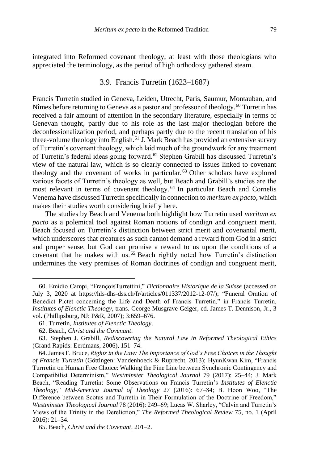integrated into Reformed covenant theology, at least with those theologians who appreciated the terminology, as the period of high orthodoxy gathered steam.

#### 3.9. Francis Turretin (1623–1687)

Francis Turretin studied in Geneva, Leiden, Utrecht, Paris, Saumur, Montauban, and Nîmes before returning to Geneva as a pastor and professor of theology.<sup>60</sup> Turretin has received a fair amount of attention in the secondary literature, especially in terms of Genevan thought, partly due to his role as the last major theologian before the deconfessionalization period, and perhaps partly due to the recent translation of his three-volume theology into English.<sup>61</sup> J. Mark Beach has provided an extensive survey of Turretin's covenant theology, which laid much of the groundwork for any treatment of Turretin's federal ideas going forward.<sup>62</sup> Stephen Grabill has discussed Turretin's view of the natural law, which is so clearly connected to issues linked to covenant theology and the covenant of works in particular.<sup>63</sup> Other scholars have explored various facets of Turretin's theology as well, but Beach and Grabill's studies are the most relevant in terms of covenant theology. <sup>64</sup> In particular Beach and Cornelis Venema have discussed Turretin specifically in connection to *meritum ex pacto*, which makes their studies worth considering briefly here.

The studies by Beach and Venema both highlight how Turretin used *meritum ex pacto* as a polemical tool against Roman notions of condign and congruent merit. Beach focused on Turretin's distinction between strict merit and covenantal merit, which underscores that creatures as such cannot demand a reward from God in a strict and proper sense, but God can promise a reward to us upon the conditions of a covenant that he makes with us. <sup>65</sup> Beach rightly noted how Turretin's distinction undermines the very premises of Roman doctrines of condign and congruent merit,

<sup>60.</sup> Emidio Campi, "FrançoisTurrettini," *Dictionnaire Historique de la Suisse* (accessed on July 3, 2020 at https://hls-dhs-dss.ch/fr/articles/011337/2012-12-07/); "Funeral Oration of Benedict Pictet concerning the Life and Death of Francis Turretin," in Francis Turretin, *Institutes of Elenctic Theology*, trans. George Musgrave Geiger, ed. James T. Dennison, Jr., 3 vol. (Phillipsburg, NJ: P&R, 2007); 3:659–676.

<sup>61.</sup> Turretin, *Institutes of Elenctic Theology*.

<sup>62.</sup> Beach, *Christ and the Covenant*.

<sup>63.</sup> Stephen J. Grabill, *Rediscovering the Natural Law in Reformed Theological Ethics* (Grand Rapids: Eerdmans, 2006), 151–74.

<sup>64.</sup> James F. Bruce, *Rights in the Law: The Importance of God's Free Choices in the Thought of Francis Turretin* (Göttingen: Vandenhoeck & Ruprecht, 2013); HyunKwan Kim, "Francis Turrretin on Human Free Choice: Walking the Fine Line between Synchronic Contingency and Compatibilist Determinism," *Westminster Theological Journal* 79 (2017): 25–44; J. Mark Beach, "Reading Turretin: Some Observations on Francis Turretin's *Institutes of Elenctic Theology*," *Mid-America Journal of Theology* 27 (2016): 67–84; B. Hoon Woo, "The Difference between Scotus and Turretin in Their Formulation of the Doctrine of Freedom," *Westminster Theological Journal* 78 (2016): 249–69; Lucas W. Sharley, "Calvin and Turretin's Views of the Trinity in the Dereliction," *The Reformed Theological Review* 75, no. 1 (April 2016): 21–34.

<sup>65.</sup> Beach, *Christ and the Covenant*, 201–2.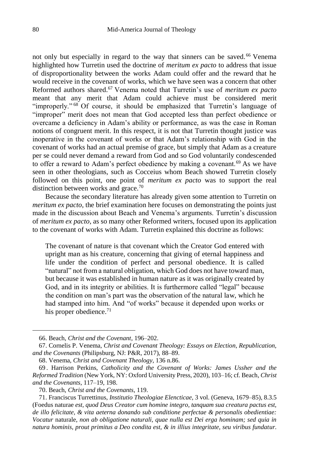not only but especially in regard to the way that sinners can be saved. <sup>66</sup> Venema highlighted how Turretin used the doctrine of *meritum ex pacto* to address that issue of disproportionality between the works Adam could offer and the reward that he would receive in the covenant of works, which we have seen was a concern that other Reformed authors shared. <sup>67</sup> Venema noted that Turretin's use of *meritum ex pacto*  meant that any merit that Adam could achieve must be considered merit "improperly." <sup>68</sup> Of course, it should be emphasized that Turretin's language of "improper" merit does not mean that God accepted less than perfect obedience or overcame a deficiency in Adam's ability or performance, as was the case in Roman notions of congruent merit. In this respect, it is not that Turretin thought justice was inoperative in the covenant of works or that Adam's relationship with God in the covenant of works had an actual premise of grace, but simply that Adam as a creature per se could never demand a reward from God and so God voluntarily condescended to offer a reward to Adam's perfect obedience by making a covenant.<sup>69</sup> As we have seen in other theologians, such as Cocceius whom Beach showed Turretin closely followed on this point, one point of *meritum ex pacto* was to support the real distinction between works and grace.<sup>70</sup>

Because the secondary literature has already given some attention to Turretin on *meritum ex pacto*, the brief examination here focuses on demonstrating the points just made in the discussion about Beach and Venema's arguments. Turretin's discussion of *meritum ex pacto*, as so many other Reformed writers, focused upon its application to the covenant of works with Adam. Turretin explained this doctrine as follows:

The covenant of nature is that covenant which the Creator God entered with upright man as his creature, concerning that giving of eternal happiness and life under the condition of perfect and personal obedience. It is called "natural" not from a natural obligation, which God does not have toward man, but because it was established in human nature as it was originally created by God, and in its integrity or abilities. It is furthermore called "legal" because the condition on man's part was the observation of the natural law, which he had stamped into him. And "of works" because it depended upon works or his proper obedience. $71$ 

<sup>66.</sup> Beach, *Christ and the Covenant*, 196–202.

<sup>67.</sup> Cornelis P. Venema, *Christ and Covenant Theology: Essays on Election, Republication, and the Covenants* (Philipsburg, NJ: P&R, 2017), 88–89.

<sup>68.</sup> Venema, *Christ and Covenant Theology*, 136 n.86.

<sup>69</sup> . Harrison Perkins, *Catholicity and the Covenant of Works: James Ussher and the Reformed Tradition* (New York, NY: Oxford University Press, 2020), 103–16; cf. Beach, *Christ and the Covenants*, 117–19, 198.

<sup>70.</sup> Beach, *Christ and the Covenants*, 119.

<sup>71.</sup> Franciscus Turrettinus, *Institutio Theologiae Elencticae*, 3 vol. (Geneva, 1679–85), 8.3.5 (Foedus naturae *est, quod Deus Creator cum homine integro, tanquam sua creatura pactus est, de illo felicitate, & vita aeterna donando sub conditione perfectae & personalis obedientiae: Vocatur* naturale, *non ab obligatione naturali, quae nulla est Dei erga hominam; sed quia in natura hominis, prout primitus a Deo condita est, & in illius integritate, seu viribus fundatur.*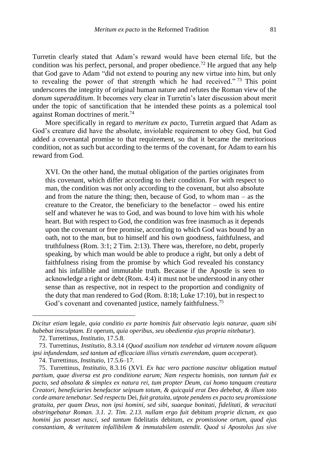Turretin clearly stated that Adam's reward would have been eternal life, but the condition was his perfect, personal, and proper obedience.<sup>72</sup> He argued that any help that God gave to Adam "did not extend to pouring any new virtue into him, but only to revealing the power of that strength which he had received." <sup>73</sup> This point underscores the integrity of original human nature and refutes the Roman view of the *donum superadditum*. It becomes very clear in Turretin's later discussion about merit under the topic of sanctification that he intended these points as a polemical tool against Roman doctrines of merit.<sup>74</sup>

More specifically in regard to *meritum ex pacto*, Turretin argued that Adam as God's creature did have the absolute, inviolable requirement to obey God, but God added a covenantal promise to that requirement, so that it became the meritorious condition, not as such but according to the terms of the covenant, for Adam to earn his reward from God.

XVI. On the other hand, the mutual obligation of the parties originates from this covenant, which differ according to their condition. For with respect to man, the condition was not only according to the covenant, but also absolute and from the nature the thing; then, because of God, to whom man – as the creature to the Creator, the beneficiary to the benefactor – owed his entire self and whatever he was to God, and was bound to love him with his whole heart. But with respect to God, the condition was free inasmuch as it depends upon the covenant or free promise, according to which God was bound by an oath, not to the man, but to himself and his own goodness, faithfulness, and truthfulness (Rom. 3:1; 2 Tim. 2:13). There was, therefore, no debt, properly speaking, by which man would be able to produce a right, but only a debt of faithfulness rising from the promise by which God revealed his constancy and his infallible and immutable truth. Because if the Apostle is seen to acknowledge a right or debt (Rom. 4:4) it must not be understood in any other sense than as respective, not in respect to the proportion and condignity of the duty that man rendered to God (Rom. 8:18; Luke 17:10), but in respect to God's covenant and covenanted justice, namely faithfulness.<sup>75</sup>

*Dicitur etiam* legale, *quia conditio ex parte hominis fuit observatio legis naturae, quam sibi habebat insculptam. Et* operum, *quia operibus, seu obedientia ejus propria nitebatur*).

<sup>72.</sup> Turrettinus, *Institutio*, 17.5.8.

<sup>73.</sup> Turrettinus, *Institutio*, 8.3.14 (*Quod auxilium non tendebat ad virtutem novam aliquam ipsi infundendam, sed tantum ad efficaciam illius virtutis exerendam, quam acceperat*).

<sup>74.</sup> Turrettinus, *Institutio*, 17.5.6–17.

<sup>75.</sup> Turrettinus, *Institutio*, 8.3.16 (XVI. *Ex hac vero pactione nascitur* obligation *mutual partium, quae diversa est pro conditione earum; Nam respectu* hominis*, non tantum fuit ex pacto, sed absoluta & simplex ex natura rei, tum propter Deum, cui homo tanquam creatura Creatori, beneficiaries benefactor seipsum totum, & quicquid erat Deo debebat, & illum toto corde amare tenebatur. Sed respectu* Dei*, fuit gratuita, utpote pendens ex pacto seu promissione gratuita, per quam Deus, non ipsi homini, sed sibi, suaeque bonitati, fidelitati, & veracitati obstringebatur Roman. 3.1. 2. Tim. 2.13. nullam ergo fuit* debitum *proprie dictum, ex quo homini jus posset nasci, sed tantum* fidelitatis debitum*, ex promissione ortum, quod ejus constantiam, & veritatem infallibilem & immutabilem ostendit. Quod si Apostolus jus sive*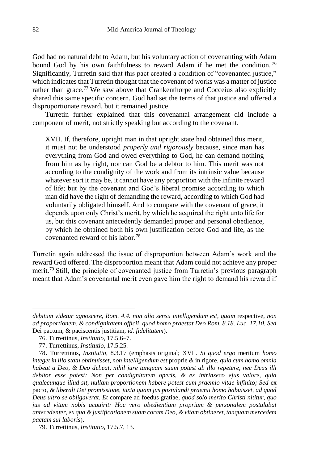God had no natural debt to Adam, but his voluntary action of covenanting with Adam bound God by his own faithfulness to reward Adam if he met the condition. <sup>76</sup> Significantly, Turretin said that this pact created a condition of "covenanted justice," which indicates that Turretin thought that the covenant of works was a matter of justice rather than grace.<sup>77</sup> We saw above that Crankenthorpe and Cocceius also explicitly shared this same specific concern. God had set the terms of that justice and offered a disproportionate reward, but it remained justice.

Turretin further explained that this covenantal arrangement did include a component of merit, not strictly speaking but according to the covenant.

XVII. If, therefore, upright man in that upright state had obtained this merit, it must not be understood *properly and rigorously* because, since man has everything from God and owed everything to God, he can demand nothing from him as by right, nor can God be a debtor to him. This merit was not according to the condignity of the work and from its intrinsic value because whatever sort it may be, it cannot have any proportion with the infinite reward of life; but by the covenant and God's liberal promise according to which man did have the right of demanding the reward, according to which God had voluntarily obligated himself. And to compare with the covenant of grace, it depends upon only Christ's merit, by which he acquired the right unto life for us, but this covenant antecedently demanded proper and personal obedience, by which he obtained both his own justification before God and life, as the covenanted reward of his labor.<sup>78</sup>

Turretin again addressed the issue of disproportion between Adam's work and the reward God offered. The disproportion meant that Adam could not achieve any proper merit.<sup>79</sup> Still, the principle of covenanted justice from Turretin's previous paragraph meant that Adam's covenantal merit even gave him the right to demand his reward if

*debitum videtur agnoscere, Rom. 4.4. non alio sensu intelligendum est, quam* respective*, non ad proportionem, & condignitatem officii, quod homo praestat Deo Rom. 8.18. Luc. 17.10. Sed*  Dei pactum, & paciscentis justitiam*, id. fidelitatem*).

<sup>76.</sup> Turrettinus, *Institutio*, 17.5.6–7.

<sup>77.</sup> Turrettinus, *Institutio*, 17.5.25.

<sup>78.</sup> Turrettinus, *Institutio*, 8.3.17 (emphasis original; XVII. *Si quod ergo* meritum *homo integet in illo statu obtinuisset, non intelligendum est* proprie & in rigore*, quia cum homo omnia habeat a Deo, & Deo debeat, nihil jure tanquam suum potest ab illo repetere, nec Deus illi debitor esse potest: Non per condignitatem operis, & ex intrinseco ejus valore, quia qualecunque illud sit, nullam proportionem habere potest cum praemio vitae infinito; Sed* ex pacto*, & liberali Dei promissione, juxta quam jus postulandi praemii homo habuisset, ad quod Deus ultro se obligaverat. Et* compare ad foedus gratiae*, quod solo merito Christi nititur, quo jus ad vitam nobis acquirit: Hoc vero obedientiam propriam & personalem postulabat antecedenter, ex qua & justificationem suam coram Deo, & vitam obtineret, tanquam mercedem pactam sui laboris*).

<sup>79.</sup> Turrettinus, *Institutio*, 17.5.7, 13.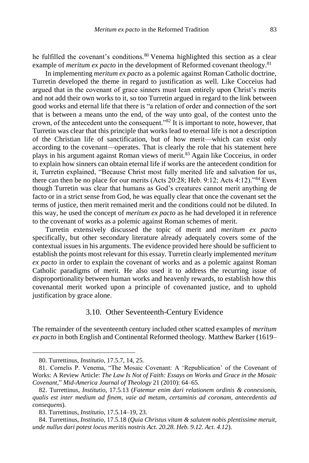he fulfilled the covenant's conditions.<sup>80</sup> Venema highlighted this section as a clear example of *meritum ex pacto* in the development of Reformed covenant theology.<sup>81</sup>

In implementing *meritum ex pacto* as a polemic against Roman Catholic doctrine, Turretin developed the theme in regard to justification as well. Like Cocceius had argued that in the covenant of grace sinners must lean entirely upon Christ's merits and not add their own works to it, so too Turretin argued in regard to the link between good works and eternal life that there is "a relation of order and connection of the sort that is between a means unto the end, of the way unto goal, of the contest unto the crown, of the antecedent unto the consequent."<sup>82</sup> It is important to note, however, that Turretin was clear that this principle that works lead to eternal life is not a description of the Christian life of sanctification, but of how merit—which can exist only according to the covenant—operates. That is clearly the role that his statement here plays in his argument against Roman views of merit.<sup>83</sup> Again like Cocceius, in order to explain how sinners can obtain eternal life if works are the antecedent condition for it, Turretin explained, "Because Christ most fully merited life and salvation for us, there can then be no place for our merits (Acts 20:28; Heb. 9:12; Acts 4:12)."<sup>84</sup> Even though Turretin was clear that humans as God's creatures cannot merit anything de facto or in a strict sense from God, he was equally clear that once the covenant set the terms of justice, then merit remained merit and the conditions could not be diluted. In this way, he used the concept of *meritum ex pacto* as he had developed it in reference to the covenant of works as a polemic against Roman schemes of merit.

Turretin extensively discussed the topic of merit and *meritum ex pacto*  specifically, but other secondary literature already adequately covers some of the contextual issues in his arguments. The evidence provided here should be sufficient to establish the points most relevant for this essay. Turretin clearly implemented *meritum ex pacto* in order to explain the covenant of works and as a polemic against Roman Catholic paradigms of merit. He also used it to address the recurring issue of disproportionality between human works and heavenly rewards, to establish how this covenantal merit worked upon a principle of covenanted justice, and to uphold justification by grace alone.

## 3.10. Other Seventeenth-Century Evidence

The remainder of the seventeenth century included other scatted examples of *meritum ex pacto* in both English and Continental Reformed theology. Matthew Barker (1619–

<sup>80.</sup> Turrettinus, *Institutio*, 17.5.7, 14, 25.

<sup>81.</sup> Cornelis P. Venema, "The Mosaic Covenant: A 'Republication' of the Covenant of Works: A Review Article: *The Law Is Not of Faith: Essays on Works and Grace in the Mosaic Covenant*," *Mid-America Journal of Theology* 21 (2010): 64–65.

<sup>82.</sup> Turrettinus, *Institutio*, 17.5.13 (*Fatemur enim dari relationem ordinis & connexionis, qualis est inter medium ad finem, vaie ad metam, certaminis ad coronam, antecedentis ad consequens*).

<sup>83.</sup> Turrettinus, *Institutio*, 17.5.14–19, 23.

<sup>84.</sup> Turrettinus, *Institutio*, 17.5.18 (*Quia Christus vitam & salutem nobis plentissime meruit, unde nullus dari potest locus meritis nostris Act. 20.28. Heb. 9.12. Act. 4.12*).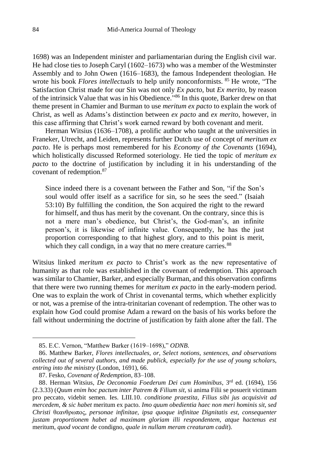1698) was an Independent minister and parliamentarian during the English civil war. He had close ties to Joseph Caryl (1602–1673) who was a member of the Westminster Assembly and to John Owen (1616–1683), the famous Independent theologian. He wrote his book *Flores intellectuals* to help unify nonconformists. <sup>85</sup> He wrote, "The Satisfaction Christ made for our Sin was not only *Ex pacto,* but *Ex merito,* by reason of the intrinsick Value that was in his Obedience." <sup>86</sup> In this quote, Barker drew on that theme present in Chamier and Burman to use *meritum ex pacto* to explain the work of Christ, as well as Adams's distinction between *ex pacto* and *ex merito*, however, in this case affirming that Christ's work earned reward by both covenant and merit.

Herman Witsius (1636–1708), a prolific author who taught at the universities in Franeker, Utrecht, and Leiden, represents further Dutch use of concept of *meritum ex pacto*. He is perhaps most remembered for his *Economy of the Covenants* (1694), which holistically discussed Reformed soteriology. He tied the topic of *meritum ex pacto* to the doctrine of justification by including it in his understanding of the covenant of redemption.<sup>87</sup>

Since indeed there is a covenant between the Father and Son, "if the Son's soul would offer itself as a sacrifice for sin, so he sees the seed." (Isaiah 53:10) By fulfilling the condition, the Son acquired the right to the reward for himself, and thus has merit by the covenant. On the contrary, since this is not a mere man's obedience, but Christ's, the God-man's, an infinite person's, it is likewise of infinite value. Consequently, he has the just proportion corresponding to that highest glory, and to this point is merit, which they call condign, in a way that no mere creature carries.<sup>88</sup>

Witsius linked *meritum ex pacto* to Christ's work as the new representative of humanity as that role was established in the covenant of redemption. This approach was similar to Chamier, Barker, and especially Burman, and this observation confirms that there were two running themes for *meritum ex pacto* in the early-modern period. One was to explain the work of Christ in covenantal terms, which whether explicitly or not, was a premise of the intra-trinitarian covenant of redemption. The other was to explain how God could promise Adam a reward on the basis of his works before the fall without undermining the doctrine of justification by faith alone after the fall. The

<sup>85.</sup> E.C. Vernon, "Matthew Barker (1619–1698)," *ODNB*.

<sup>86.</sup> Matthew Barker, *Flores intellectuales, or, Select notions, sentences, and observations collected out of several authors, and made publick, especially for the use of young scholars, entring into the ministry* (London, 1691), 66.

<sup>87.</sup> Fesko, *Covenant of Redemption*, 83–108.

<sup>88.</sup> Herman Witsius, *De Oeconomia Foederum Dei cum Hominibus*, 3rd ed. (1694), 156 (2.3.33) (*Quum enim hoc pactum inter Patrem & Filium sit,* si anima Filii se posuerit victimam pro peccato, videbit semen. Ies. LIII.10. *conditione praestita, Filius sibi jus acquisivit ad mercedem, & sic habet* meritum ex pacto*. Imo quum obedientia haec non meri hominis sit, sed Christi* θεανθρωπος, *personae infinitae, ipsa quoque infinitae Dignitatis est, consequenter justam proportionem habet ad maximam gloriam illi respondentem, atque hactenus est* meritum*, quod vocant* de condigno*, quale in nullam meram creaturam cadit*).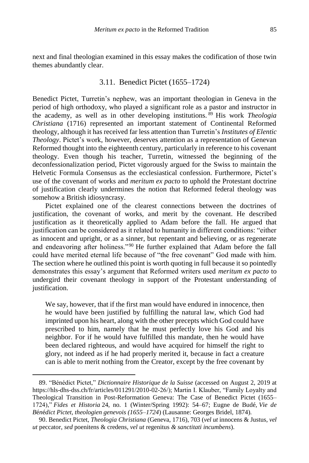next and final theologian examined in this essay makes the codification of those twin themes abundantly clear.

#### 3.11. Benedict Pictet (1655–1724)

Benedict Pictet, Turretin's nephew, was an important theologian in Geneva in the period of high orthodoxy, who played a significant role as a pastor and instructor in the academy, as well as in other developing institutions. <sup>89</sup> His work *Theologia Christiana* (1716) represented an important statement of Continental Reformed theology, although it has received far less attention than Turretin's *Institutes of Elentic Theology*. Pictet's work, however, deserves attention as a representation of Genevan Reformed thought into the eighteenth century, particularly in reference to his covenant theology. Even though his teacher, Turretin, witnessed the beginning of the deconfessionalization period, Pictet vigorously argued for the Swiss to maintain the Helvetic Formula Consensus as the ecclesiastical confession. Furthermore, Pictet's use of the covenant of works and *meritum ex pacto* to uphold the Protestant doctrine of justification clearly undermines the notion that Reformed federal theology was somehow a British idiosyncrasy.

Pictet explained one of the clearest connections between the doctrines of justification, the covenant of works, and merit by the covenant. He described justification as it theoretically applied to Adam before the fall. He argued that justification can be considered as it related to humanity in different conditions: "either as innocent and upright, or as a sinner, but repentant and believing, or as regenerate and endeavoring after holiness."<sup>90</sup> He further explained that Adam before the fall could have merited eternal life because of "the free covenant" God made with him. The section where he outlined this point is worth quoting in full because it so pointedly demonstrates this essay's argument that Reformed writers used *meritum ex pacto* to undergird their covenant theology in support of the Protestant understanding of justification.

We say, however, that if the first man would have endured in innocence, then he would have been justified by fulfilling the natural law, which God had imprinted upon his heart, along with the other precepts which God could have prescribed to him, namely that he must perfectly love his God and his neighbor. For if he would have fulfilled this mandate, then he would have been declared righteous, and would have acquired for himself the right to glory, not indeed as if he had properly merited it, because in fact a creature can is able to merit nothing from the Creator, except by the free covenant by

<sup>89.</sup> "Bénédict Pictet," *Dictionnaire Historique de la Suisse* (accessed on August 2, 2019 at https://hls-dhs-dss.ch/fr/articles/011291/2010-02-26/); Martin I. Klauber, "Family Loyalty and Theological Transition in Post-Reformation Geneva: The Case of Benedict Pictet (1655– 1724)," *Fides et Historia* 24, no. 1 (Winter/Spring 1992): 54–67; Eugne de Budé, *Vie de B*é*n*é*dict Pictet, theologien genevois (1655–1724*) (Lausanne: Georges Bridel, 1874).

<sup>90.</sup> Benedict Pictet, *Theologia Christiana* (Geneva, 1716), 703 (*vel ut* innocens & Justus*, vel ut* peccator*, sed* poenitens & credens*, vel ut* regenitus *& sanctitati incumbens*).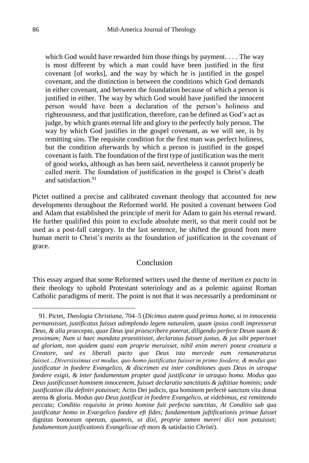which God would have rewarded him those things by payment. . . . The way is most different by which a man could have been justified in the first covenant [of works], and the way by which he is justified in the gospel covenant, and the distinction is between the conditions which God demands in either covenant, and between the foundation because of which a person is justified in either. The way by which God would have justified the innocent person would have been a declaration of the person's holiness and righteousness, and that justification, therefore, can be defined as God's act as judge, by which grants eternal life and glory to the perfectly holy person. The way by which God justifies in the gospel covenant, as we will see, is by remitting sins. The requisite condition for the first man was perfect holiness, but the condition afterwards by which a person is justified in the gospel covenant is faith. The foundation of the first type of justification was the merit of good works, although as has been said, nevertheless it cannot properly be called merit. The foundation of justification in the gospel is Christ's death and satisfaction.<sup>91</sup>

Pictet outlined a precise and calibrated covenant theology that accounted for new developments throughout the Reformed world. He posited a covenant between God and Adam that established the principle of merit for Adam to gain his eternal reward. He further qualified this point to exclude absolute merit, so that merit could not be used as a post-fall category. In the last sentence, he shifted the ground from mere human merit to Christ's merits as the foundation of justification in the covenant of grace.

# Conclusion

This essay argued that some Reformed writers used the theme of *meritum ex pacto* in their theology to uphold Protestant soteriology and as a polemic against Roman Catholic paradigms of merit. The point is not that it was necessarily a predominant or

<sup>91.</sup> Pictet, *Theologia Christiana*, 704–5 (*Dicimus autem quod primus homo, si in innocentia permansisset, justificatus fuisset adimplendo legem naturalem, quam ipsius cordi impresserat Deus, & alia praecepta, quae Deus ipsi praescribere poterat, diligendo perfecte Deum suum & proximum; Nam si haec mandata praestitisset, declaratus fuisset justus, & jus sibi peperisset ad gloriam, non quidem quasi eam proprie meruisset, nihil enim mereri potest creatura a Creatore, sed ex liberali pacto quo Deus ista mercede eum remuneraturus fuisset…Diversissimus est modus, quo homo justificatus fuisset in primo foedere, & modus quo justificatur in foedere Evangelico, & discrimen est inter conditiones quas Deus in utroque foedere exigit, & inter fundamentum propter quod justificatur in utraquo homo. Modus quo Deus justificasset hominem innocentem, fuisset declaratio sanctitatis & juftitiae hominis; unde justification illa definiri potuisset;* Actio Dei judicis, qua hominem perfectè sanctum vita donat aterna & gloria*.* Modus *quo Deus justificat in foedere Evangelico, ut videbimus, est remittendo peccata; Conditio requisita in primo homine fuit perfecta sanctitas, At Conditio sub qua justificatur homo in Evargelico foedere eft fides; fundamentum juftificationis primae fuisset* dignitas bomorum operum*, quamvis, ut dixi, proprie tamen mereri dici non potuisset; fundamentum justificationis Evangelicae eft* mors & satisfactio *Christi*).